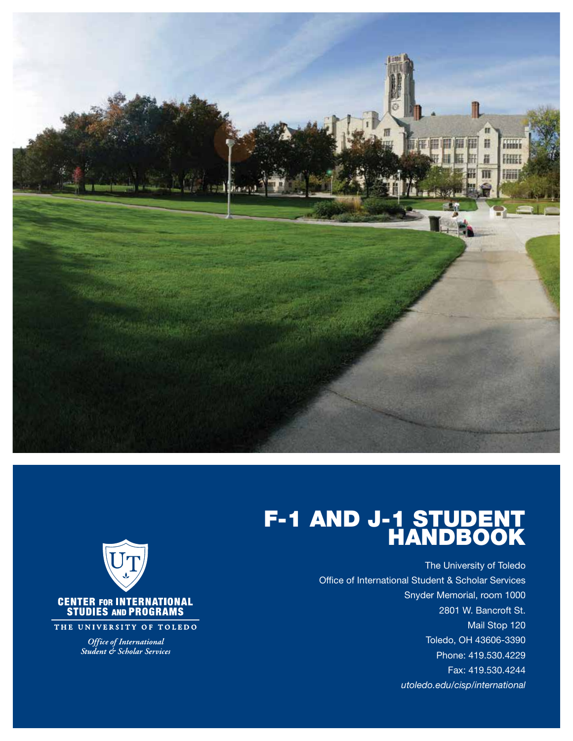

#### F-1 AND J-1 STUDENT HANDBOOK

The University of Toledo Office of International Student & Scholar Services Snyder Memorial, room 1000 2801 W. Bancroft St. Mail Stop 120 Toledo, OH 43606-3390 Phone: 419.530.4229 Fax: 419.530.4244 utoledo.edu/cisp/international



THE UNIVERSITY OF TOLEDO

*Office of International*<br>*Student & Scholar Services*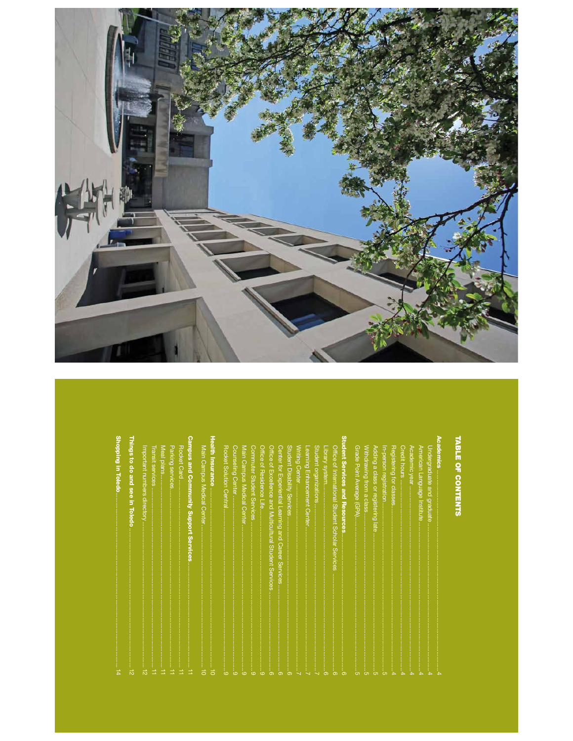

# TABLE OF CONTENTS

| noping in Toledo<br>s6un<br>to do and see<br>in Toledo | mpus and Community Support Services<br>Rocket Card<br>Important numbers directory<br>Meal plans<br>Parking<br><b>Transit services</b><br><b>Services</b> | alth Insurance<br>Main<br><b>Campus Medical</b><br>$\circ$<br>enter | Rocket Solution Central<br>Main<br>Counseling<br>Commuter Student Services<br>Office<br><b>Campus Medical Cente</b><br>of Residence<br>Centel<br>Life. | Student Disability<br>Student organizations<br>Office<br>O<br><b>Center for</b><br>Writing<br>Library<br>eaming<br><b>Mice</b><br>of Excellence and Multicultural Student Services<br>of International Student Scholar Services<br>syste<br>Center<br>Enhancement<br>Experiential<br><b>Services</b><br>Learning<br>Cente<br>and<br><b>Career</b><br>Services | ademics<br>dent Services and Resources<br><b>Grade</b><br>Registering for classes<br>Withdrawing<br>In-person registratio<br>Credit hours<br>Adding a<br>Academic year<br>American Language<br>Jndergraduate<br><b>Point Average</b><br>class<br>Hrom<br>$\mathsf{Q}$<br>and<br>registering<br>$\omega$<br><b>graduate</b><br>class<br>Institute<br>(d5)<br>late |
|--------------------------------------------------------|----------------------------------------------------------------------------------------------------------------------------------------------------------|---------------------------------------------------------------------|--------------------------------------------------------------------------------------------------------------------------------------------------------|---------------------------------------------------------------------------------------------------------------------------------------------------------------------------------------------------------------------------------------------------------------------------------------------------------------------------------------------------------------|------------------------------------------------------------------------------------------------------------------------------------------------------------------------------------------------------------------------------------------------------------------------------------------------------------------------------------------------------------------|
| 忈<br>A                                                 | ×<br>$\overline{\mathbf{v}}$                                                                                                                             | $\overline{\circ}$<br>$\circ$                                       | $\Omega$<br>ശ<br>$\circ$<br>$\overline{c}$<br>$\Omega$                                                                                                 | ග                                                                                                                                                                                                                                                                                                                                                             | A<br>$\overline{\phantom{a}}$<br>$\sigma$<br>ហ<br>ၜ                                                                                                                                                                                                                                                                                                              |

 $\Omega$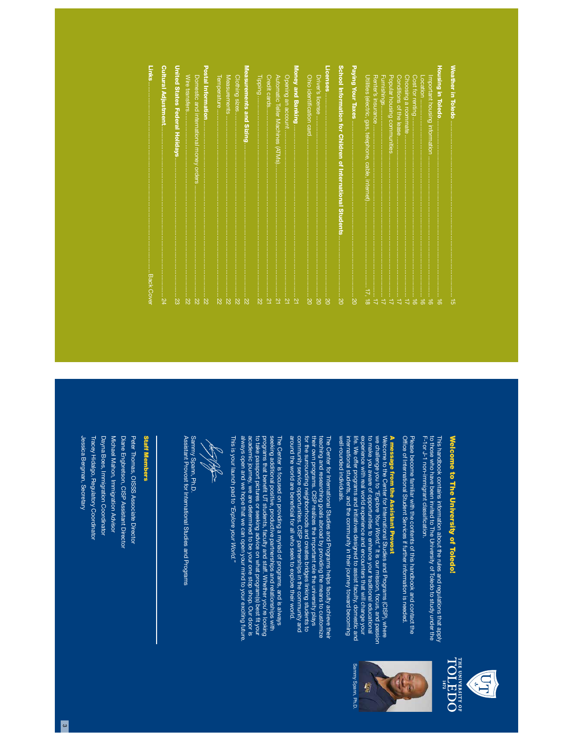| Back Cover                                                             | Links                      |
|------------------------------------------------------------------------|----------------------------|
| $\overline{24}$                                                        |                            |
| United States Federal Holidays<br>$\overline{33}$                      |                            |
| $\overline{z}$                                                         | Wire transfers             |
| Domestic and international money orders<br>$\frac{1}{22}$              |                            |
| $\frac{22}{2}$                                                         | <b>Postal Information.</b> |
| <u>22</u>                                                              |                            |
| Z2                                                                     | Measurements               |
| Clothing sizes                                                         |                            |
| Measurements and Sizing<br>:<br>ನ                                      |                            |
| $\overline{z}$                                                         | Tipping                    |
| $\frac{1}{2}$                                                          | Credit cards               |
| Automatic Teller Machines (ATMs<br>$\frac{1}{2}$                       |                            |
| Opening an account<br>$\overline{z}$                                   |                            |
| $\frac{2}{2}$                                                          |                            |
| Ohio identification card<br>$-20$                                      |                            |
| $\frac{1}{20}$                                                         | Driver's license           |
| .<br>20                                                                | Licenses                   |
| School Information for Children of International Students<br><b>SO</b> |                            |
| <b>DS</b>                                                              |                            |
| 17, 18                                                                 |                            |
| Renter's insurance                                                     |                            |
|                                                                        |                            |
| Popular housing communities                                            |                            |
| Conditions of the lease<br>$\frac{1}{2}$                               |                            |
| Choosing a roommate                                                    |                            |
| ಹ                                                                      |                            |
| mportant housing information<br>்<br>க<br>ಹ                            |                            |
| $\vec{5}$                                                              | Housing in Toledo.         |
| Weather in Toledo<br>ō                                                 |                            |



F-1or J-1 non-immigrant classi to those who have been invited to The University of Toledo to study under the This handbook contains information about the rules and regulations that apply fcation.

Of fPlease become familiar with the contents of this handbook and contact the ce of International Student Services if further information is needed.

# A message from the Assistant Provost

A message from the Assistant Provost<br>Welcome to the Center for International Shuties and Programs (CISP), where<br>to make you aware of opportunities to enhance your traditional educational<br>to make you aware of opportunities well-rounded individuals. well-rounded individuals. international students, and the community in their journey toward becoming life. We offer programs and initiatives designed to assist faculty, domestic and experience with real world experience and encounters that will change your to make you aware of opportunities to enhance your traditional educational we challenge you to Welcome to the Center for International Studies and Programs (CISP), where "Explore Your World." It is our mission, focus, and passion

The Center for International Studies and Programs helps faculty achieve their<br>teaching and researching goals abroad by providing the means to customize<br>their own programs. CISP realizes the important role the university pl community service opportunities. CISP partnerships in the community and<br>around the world are beneficial for all who seek to explore their world. around the world are bene community service opportunities. CISP partnerships in the community and for the surrounding neighborhoods and creates bridges linking students to their own programs. CISP realizes the important role the university plays teaching and researching goals abroad by providing the means to customize The Center for International Studies and Programs helps faculty achieve their cial for all who seek to explore their world.

always open and we hope that we can open your mind to your exciting future always open and we hope that we can open your mind to your exciting future. academic journey, we are determined to be your one stop shop. Our door is academic journey, we are determined to be your one stop shop. Our door is to take passport pictures or seeking advice on what program(s) best programs that benefit UT students, faculty and staff. Whether you're looking programs that bene seeking additional positive, productive partnerships and relationships with seeking additional positive, productive partnerships and relationships with The Center is focused on providing a myriad of programs, and is always The Center is focused on providing a myriad of programs, and is always t UT students, faculty and staff. Whether you're looking ft your

This is your launch pad to "Explore your World." This is your launch pad to "Explore your World."

**RAND** 

Sammy Spann, Ph.D. Assistant Provost for International Studies and Programs Assistant Provost for International Studies and Programs Sammy Spann, Ph.D.

#### **Staff Members** Staff Members

Dayna Boes, Immigration Coordinator Diane Engbretson, CISP Assistant Director Jessica Bergman, Secretary Jessica Bergman, Secretary Tracey Hidalgo, Regulatory Coordinator Tracey Hidalgo, Regulatory Coordinator Dayna Boes, Immigration Coordinator Michael Mahon, Immigration Advisor Michael Mahon, Immigration Advisor Diane Engbretson, CISP Assistant Director Peter Thomas, OISSS Associate Director Peter Thomas, OISSS Associate Director





Sammy Spann, Ph.D. Sammy Spann, Ph.D.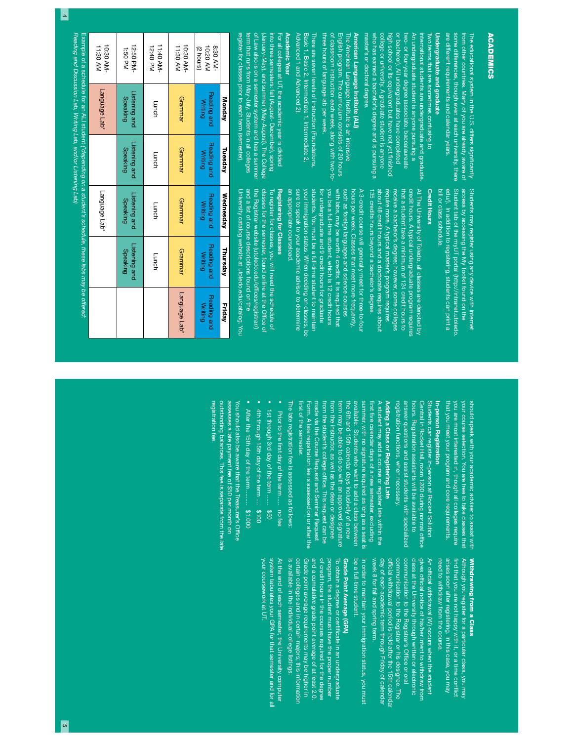5

are different requirements and calendar years. are different requirements and calendar years. some differences, though even at each university, there some differences, though even at each university, there from other countries. Many of you are already aware of from other countries. Many of you are already aware of The educational system in the U.S. differs signi ficantly

# Undergraduate and graduate Undergraduate and graduate

master's or doctoral degree. master's or doctoral degree. who has earned a bachelor's degree and is pursuing a who has earned a bachelor's degree and is pursuing a college or university. A graduate student is anyone high school or its equivalent but have not yet or bachelor). All undergraduates have completed or bachelor). All undergraduates have completed two- or four-year degree (associate, baccalaureate two- or four-year degree (associate, baccalaureate An undergraduate student is anyone pursuing a An undergraduate student is anyone pursuing a international students are undergraduate and graduate international students are undergraduate and graduate. Two terms that are sometimes confusing to Two terms that are sometimes confusing to ge or university. A graduate student is anyone fnished

# American Language Institute (ALI) American Language Institute (ALI)

three hours of language lab per weel three hours of language lab per week. of cla of classroom instruction each week, along with two-to-English program. The curriculum consists of 20 hours The American Language Institute is an intensive The American Language Institute is an intensive assroom instruction each week, along with two-to sh program. The curriculum consists of 20 hours

Advanced 1 and Advanced 2). Advanced 1 and Advanced 2). Basic 1, Basic 2, Intermediate 1, Intermediate 2, There are seven levels of instruction (Foundations, There are seven levels of instruction (Foundations, Basic 1, Basic 2, Intermediate 1, Intermediate 2,

### **Academic Year** Academic Year

of Law also is on a semester system and has a summer register for classes prior to each term (semester). register for classes prior to each term (semester). term that runs from May-July. Students in all colleges of Law also is on a semester system and has a summer (January-May), and summer (May-August). The College into three semesters: fall (August- December), spring For all colleges at UT, the academic year is divided For all colleges at UT, the academic year is divided rem that runs from May-July. Students in all colleges Uanuary-May), and summer (May-August). The Colle nto three semesters: fall (August- December), spring

Students may register using any device with internet Student tab of the myUT portal (http://intranet.utoledo access by accessing the My Toolkit found on the bill or class schedule. edu/. In addition to registering, students can print a bill or class schedule. edu/). In addition to registering, students can print a Student tab of the myUT portal (http://intranet.utoledo. access by accessing the My Toolkit found on the Students may register using any device with internet

#### **Credit Hours** Credit Hours

that a student take a minimum of 124 credit hours to credit hours. A typical undergraduate program requires 135 credits hours beyond a bachelor's degree. about 48 credit hours and a doctorate requires about require more. A typical master's program requires receive a bachelor's degree; however, some colleges At The University of Toledo, all classes are denoted by At The University of Toledo, all classes are denoted by 135 credits hours beyond a bachelor's degree. about 48 credit hours and a doctorate requires about require more. A typical master's program requires receive a bachelor's degree; however, some colleges that a student take a minimum of 124 credit hours to credit hours. A typical undergraduate program requires

an appropriate courseload. your immigration status. When deciding on classes, be students. You must be a full-time student to maintain you be a full-time student, which is 12 credit hours with labs, may be worth 4 credits. It is required that such as foreign languages and science courses hours per week. Classes that meet more frequently, A 3-credit course will generally meet for three-to-four A 3-credit course will generally meet for three-to-four an appropriate courseload. sure to speak to your academic adviser to determine sure to speak to your academic adviser to determine your immigration status. When deciding on classes, be students. You must be a full-time student to maintain for undergraduate and 9 credit hours for graduate for undergraduate and 9 credit hours for graduate you be a full-time student, which is 12 credit hours with labs, may be worth 4 credits. It is required that such as foreign languages and science courses hours per week. Classes that meet more frequently,

# Registering for Classes Registering for Classes

University catalog website at utoledo.edu/catalog. You and a list of course descriptions found on the the Registrar website (utoledo.edu/offices/registrar/) University catalog website at utoledo.edu/catalog. You and a list of course descriptions found on the the Registrar website (utoledo.edu/offclasses for the semester, found online at the Of To register for classes, you will need the schedule of To register for classes, you will need the schedule of ces/registrar/) fce of

|                        |                           | Example of a schedule for an ALI student ("depending on a student's schedule, these labs may be offered: |                               |                           |                                          |
|------------------------|---------------------------|----------------------------------------------------------------------------------------------------------|-------------------------------|---------------------------|------------------------------------------|
|                        |                           | Language Lab*                                                                                            |                               | Language Lab*             | 10:30 AM-<br>11:30 AM                    |
|                        | Listening and<br>Speaking | Listening and<br>Speaking                                                                                | Listening and<br>Speaking     | Listening and<br>Speaking | 12:50 PM-<br>1:50 PM                     |
|                        | Lunch                     | Lunch                                                                                                    | Lunch                         | Lunch                     | -MA 04:11<br>12:40 PM                    |
| Language Lab*          | Grammar                   | Grammar                                                                                                  | Grammar                       | Grammar                   | 11:30 AM<br>10:30 AM-                    |
| Reading and<br>Writing | Reading and<br>Writing    | Reading and<br><b>Writing</b>                                                                            | Reading and<br><b>Writing</b> | Reading and<br>Writing    | 8:30 AM-<br><b>NA 02:01</b><br>(2 hours) |
| <b>Friday</b>          | Thursday                  | <b>Wednesday</b>                                                                                         | Tuesday                       | Monday                    |                                          |

should speak with your academic adviser to assist with that you meet your program and core requirements. your course selection. You are free to take classes that that you meet your program and core requirements. you are most interested in, though all colleges require you are most interested in, though all colleges require your course selection. You are free to take classes that should speak with your academic adviser to assist with

## In-person Registration In-person Registration

registration functions, when necessary answer questions and assist students with specialized hours. Registration assistants will be available to Students can register in-person at Rocket Solution registration functions, when necessary. answer questions and assist students with specialized hours. Registration assistants will be available to Central in Rocket Hall, room 1200 during normal of Students can register in-person at Rocket Solution fce

# Adding a Class or Registering Late Adding a Class or Registering Late

first of the semester. made via the Course Request and Seminar Request available. Students who want to add a class between summer, with no signature required as long as a seat is A student may add a course or register late within the Form. A late registration fee is assessed on or after the Form. A late registration fee is assessed on or after the made via the Course Request and Seminar Request from the student's college office. This request can be from the student's college of from the instructor, as well as the dean or designee from the instructor, as well as the dean or designee term may be able to do so with an approved signature term may be able to do so with an approved signature the 6th and 15th calendar days inclusively of a new the 6th and 15th calendar days inclusively of a new available. Students who want to add a class between summer, with no signature required as long as a seat is f rst fA student may add a course or register late within the rst of the semester. ve calendar days of a new semester, excluding ce. This request can be

The late registration fee is assessed as follows: The late registration fee is assessed as follows:

- Prior to the rst day of the term no fee • 1st through 3rd day of the term ...... ● 1st through 3rd day of the term ....... \$50
- 4th through 15th day of the term • 4th through 15th day of the term .... \$100
- After the 15th day of the term \$1,000

.........

registration fee. outstanding balances. This fee is separate from the late assesses a late payment fee of \$50 per month on You should also be aware that the Treasurer's Office registration fee. outstanding balances. This fee is separate from the late assesses a late payment fee of \$50 per month on You should also be aware that the Treasurer's Off

# Withdrawing from a Class Withdrawing from a Class

arises soon after registering. In this case, you may Although you register for a particular class, you may Although you register for a particular class, you may need to withdraw from the course need to withdraw from the course. arises soon after registering. In this case, you may nd that you are not happy with it, or a time confict

week 8 for fall and spring term. week 8 for fall and spring term. day of each academic term through Friday of calendar communication to the Registrar's Office or oral class at the University through written or electronic gives official notice of his/her intent to withdraw from An of fday of each academic term through Friday of calendar of fcommunication to the Registrar or his designee. The communication to the Registrar or his designee. The communication to the Registrar's Of class at the University through written or electronic cial withdrawal period is held after the 15th calendar cial withdrawal (W) occurs when the student cial notice of his/her intent to withdraw from ce or oral

be a full-time student In order to maintain your immigration status, you must be a full-time student. In order to maintain your immigration status, you must

# Grade Point Average (GPA) Grade Point Average (GPA)

of credit hours in the courses required for the degree certain colleges and in certain majors; this information Grade point average requirements may be higher in and a cumulative grade point average of at least 2.0. program, the student must have the proper number To obtain a degree or certificate in an undergraduate To obtain a degree or certi is available in the individual college listings. is available in the individual college listings. certain colleges and in certain majors; this information Grade point average requirements may be higher in and a cumulative grade point average of at least 2.0. of credit hours in the courses required for the degree program, the student must have the proper number cate in an undergraduate

your coursework at UT. system tabulates your GPA for that semester and for all At the end of each semester, the University computer At the end of each semester, the University computer your coursework at UT. system tabulates your GPA for that semester and for all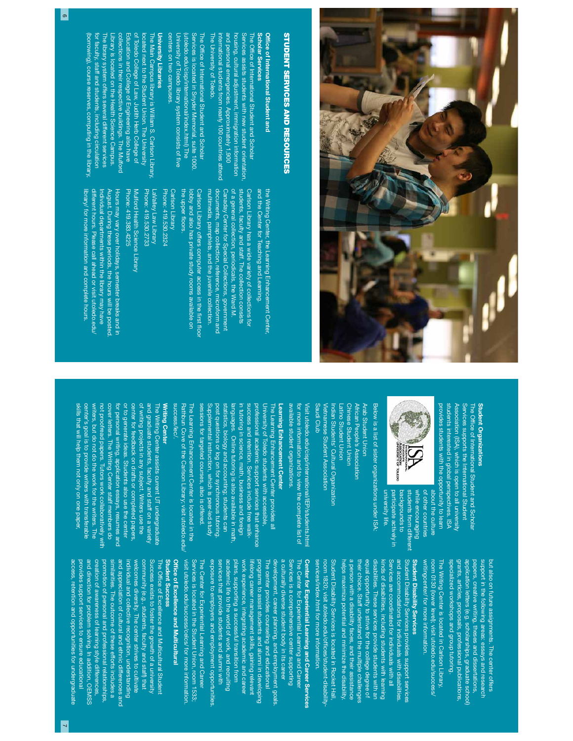

# **STUDENT SERVICES AND RESOURCES** STUDENT SERVICES AND RESOURCES

#### Scholar Services o<br>≘ **Scholar Services** ce of International Student and

international students from nearly 100 countries attend and personal emergencies. Approximately 1,900 and personal emergencies. Approximately 1,900 housing, cultural adjustment, immigration information Services assists students with new student orientation, The Of fnternational students from nearly 100 countries attend nousing, cultural adjustment, immigration information Services assists students with new student orientation, ce of International Student and Scholar

The University of Toledo.

The University of Toledo.

centers on two campuses. centers on two campuses. University of Toledo library system consists of (utoledo.edu/cisp/international/index.html) The Services is located in Snyder Memorial, suite 1000. The Of futoledo.edu/cisp/international/index.html) The Services is located in Snyder Memorial, suite 1000. ce of International Student and Scholar fve

### University Libraries **University Libraries**

(borrowing), course reserves, computing in the library (borrowing), course reserves, computing in the library, for faculty, staff and students, including circulation for faculty, staff and students, including circulation The library system offers several different services The library system offers several different services Library is located on the Health Science Campus. Library is located on the Health Science Campus. collections in their respective buildings. The Mulford collections in their respective buildings. The Mulford Education and College of Engineering also have Education and College of Engineering also have of Toledo College of Law, Judith Herb College of of Toledo College of Law, Judith Herb College of The Main Campus library is William S. Carlson Library<br>located next to the Student Union. The University located next to the Student Union. The University The Main Campus library is William S. Carlson Library,

> and the Center for Teaching and Learning. and the Center for Teaching and Learning. the Writing Center, the Learning Enhancement Center the Writing Center, the Learning Enhancement Center,

> > Learning Enhancement Center available student organizations.

Learning Enhancement Center available student organizations.

University of Toledo students with accessible,

orofessional academic support services that enhance The Learning Enhancement Center provides all

success and retention. Services include free walk-

for more information and to view the complete list of Visit utoledo.edu/cisp/international/IEP/students.html

for more information and to view the complete list of

Visit utoledo.edu/cisp/international/IEP/students.html

Saudi Club

Saudi Club

Vietnamese Student Association Indian Students' Cultural Organization

/ietnamese Student Association

ndian Students' Cultural Organization

Latino Student Union Chinese Student Union African People's Association Arab Student Union

-atino Student Union

Chinese Student Union Arab Student Union

African People's Association

Canaday Center for Special Collections, government Carlson Library has a wide variety of collections for multimedia, pamphlets, and the juvenile collection. documents, map collection, reference, microform and of a general collection, periodicals, the Ward M. students, faculty and staff. The collection consists multimedia, pamphlets, and the juvenile collection. documents, map collection, reference, microform and Canaday Center for Special Collections, government of a general collection, periodicals, the Ward M. students, faculty and staff. The collection consists Carlson Library has a wide variety of collections for

lobby and also has private study rooms available on the upper lobby and also has private study rooms available on Carlson Library offers computer access in the foors. first floor

Phone: 419.530.2324 Carlson Library Phone: 419.530.2324 Carlson Library

> Writing Center success/lec/.

success/lec/

**Writing Center** 

of writing projects in any subject. Writers use the<br>center for feedback on drafts or completed papers,<br>or to generate ideas. Students also use the center

for personal writing, application essays, resumes and

and graduate students, faculty and staff on a variety

The Writing Center assists current UT undergraduate

Rathbun Cove of the Carlson Library; visit utoledo.edu/ The Learning Enhancement Center is located in the sessions for targeted courses, also is offered. Supplemental instruction, which is peer-led study post questions or log on for synchronous tutoring. statistics, biology and accounting; students can languages. Online tutoring is also available in math, in tutoring in science, math, business and foreign success and retention. Services include free walkprofessional academic support services that enhance University of Toledo students with accessible, The Learning Enhancement Center provides all

The Learning Enhancement Center is located in the sessions for targeted courses, also is offered.

Rathbun Cove of the Carlson Library; visit utoledo.edu

bost questions or log on for synchronous tutoring

pplemental instruction, which is peer-led study

statistics, biology and accounting; students can

in tutoring in science, math, business and foreign

anguages. Online tutoring is also available in math.

Phone: 419.530.2733 LaValley Law Library Phone: 419.530.2733 LaValley Law Library

Phone: 419.383.4225 Mulford Health Science Library Phone: 419.383.4225 Mulford Health Science Library

library/ for more information and complete hours. different hours. Please call ahead or visit utoledo.edu/ Individual departments within the library may have August. During these periods, the hours will be posted August. During these periods, the hours will be posted. library/ for more information and complete hours. different hours. Please call ahead or visit utoledo.edu/ Individual departments within the library may have Hours may vary over holidays, semester breaks and in Hours may vary over holidays, semester breaks and in

skills that will help them not only on one paper, center's goal is to provide writers with transferable writers, but do not do the work for the writers. The not proofread papers. Tutors work collaboratively with cover letters. The Writing Center staff members do for personal writing, application essays, resumes and or to generate ideas. Students also use the center center for feedback on drafts or completed papers, of writing projects in any subject. Writers use the and graduate students, faculty and staff on a variety The Writing Center assists current UT undergraduate

skills that will help them not only on one paper,

center's goal is to provide writers with transferable writers, but do not do the work for the writers. The not prootread papers. Iutors work collaboratively with cover letters. The Writing Center staff members do

#### provides students with the opportunity to learn students interested in global perspectives. ISA provides students with the opportunity to learn students interested in global perspectives. ISA Association (ISA), which is open to all university Association (ISA), which is open to all university Services supports the International Student The Of fStudent Organizations Student Organizations Services supports the International Student ce of International Student and Scholar

grants, articles, proposals, professional publications, application letters (e.g. scholarships, graduate school) papers, creative writing, theses and dissertations, support in the following areas: essays and research but also on future assignments. The center offers

grants, articles, proposals, professional publications, application letters (e.g. scholarships, graduate school) papers, creative writing, theses and dissertations, support in the following areas: essays and research but also on future assignments. The center offers



about the culture about the culture

university life. backgrounds to university life. backgrounds to

Below is a list of sister organizations under ISA:

Below is a list of sister organizations under ISA:

participate actively in students from different while encouraging of other countries participate actively in students from different while encouraging of other countries Student Disability Services provides support services Student Disability Services provides support services Student Disability Services Student Disability Services writingcenter/ for more information writingcenter/ for more information. room 0130 (lower level); visit utoledo.edu/success/ The Writing Center is located in Carlson Library, The Writing Center is located in Carlson Library, specialized workshops and group tutoring specialized workshops and group tutoring. room 0130 (lower level); visit utoledo.edu/success/

Services are coordinated for individuals with all a person with a disability faces, and their assistance a person with a disability faces, and their assistance their choice. Staff understand the multiple challenges their choice. Staff understand the multiple challenges equal opportunity to strive for the college degree of equal opportunity to strive for the college degree of disabilities. These services provide students with an disabilities. These services provide students with an kinds of disabilities, including students with learning Services are coordinated for individuals with all and accommodations for individuals with disabilities and accommodations for individuals with disabilities. helps maximize potential and minimize the disability helps maximize potential and minimize the disability. kinds of disabilities, including students with learning

room 1820; visit utoledo.edu/offices/student-disability Student Disability Services is located in Rocket Hall, Student Disability Services is located in Rocket Hall, room 1820; visit utoledo.edu/of ces/student-disability-

services/index.html for more information.<br> **Center for Experiential Learning and Career Services**<br>
Services is a comprehensive center supporting<br>
Services is a comprehensive center supporting<br>
development, career planning,

# Office of Excellence and Multicultural ce of Excellence and Multicultural Student Success

and appreciation of cultural and ethnic differences and community (e.g., students, faculty and staff) that access, retention and opportunities for undergraduate provides support services to ensure educational and direction for problem solving. In addition, OEMSS and direction for problem solving. In addition, OEMSS creation of awareness of learning style differences, creation of awareness of learning style differences, promotion of personal and professional relationships similarities. The outcome of these efforts includes a similarities. The outcome of these efforts includes a and appreciation of cultural and ethnic differences and individual and collective recognition, understanding welcomes diversity. The center strives to cultivate welcomes diversity. The center strives to cultivate community (e.g., students, faculty and staff) that Success exists to foster the growth of a university Success exists to foster the growth of a university The Of f**Student Success** access, retention and opportunities for undergraduate provides support services to ensure educational promotion of personal and professional relationships, individual and collective recognition, understanding ce of Excellence and Multicultural Student lence and Multicultural Student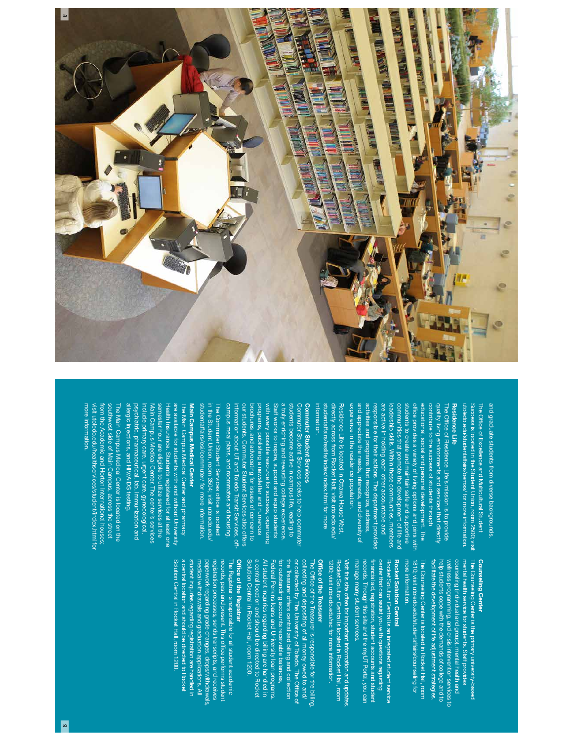

utoledo.edu/studentaffairs/oemss/ for more information. and graduate students from diverse backgrounds utoledo.edu/studentaffairs/oemss/ for more information. Success is located in the Student Union, room 2500; visit The Of fand graduate students from diverse backgrounds. ccess is located in the Student Union, room 2500; visit ce of Excellence and Multicultural Student

Residence Life

Residence Life

#### experience in the residence population. experience in the residence population. and appreciate the needs, interests, and diversity of and appreciate the needs, interests, and diversity of activities and programs that recognize, address, responsible for their actions. The department provides are active in holding each other accountable and are active in holding each other accountable and leadership skills. Within these communities, members communities that promote the development of life and communities that promote the development of life and students to create and maintain sate and supportive students to create and maintain safe and supportive of feducational, social and personal development. The contribute to the success of students through contribute to the success of students through quality living environments and services that directly quality living environments and services that directly The Of factivities and programs that recognize, address, esponsible for their actions. The department provides eadership skills. Within these communities, members ce provides a variety of living options and joins with ce of Residence Life's mission is to provide

information. studentaffairs/reslife/index/index.html for more studentaffairs/reslife/index/index.html for more directly across trom Rocket Hall; visit utoledo.edu/ directly across from Rocket Hall; visit utoledo.edu/ Residence Life is located in Ottawa House West, nformation Residence Life is located in Ottawa House West,

# Commuter Student Services

**Commuter Student Services** campus meal plans, and roommates and housing campus meal plans, and roommates and housing. information about UT and Toledo Transit Services, offour students. Commuter Student Services also offers our students. Commuter Student Services also offers brochures, and advocating for issues of concern to programs, publishing a newsletter and numerous with every possible resource for success, organizing Staff works to inspire, support and equip students a truly enriching and rewarding college experience a truly enriching and rewarding college experience. students become active in campus life, leading to students become active in campus life, leading to Commuter Student Services seeks to help commute Commuter Student Services seeks to help commuter prochures, and advocating for issues of concern to orograms, publishing a newsletter and numerous with every possible resource for success, organizing Staff works to inspire, support and equip students formation about UT and Toledo Transit Services, off

studentaffairs/osi/commuter/ for more information studentaffairs/osi/commuter/ for more information. in the Student Union, room 3504; visit utoledo.edu. in the Student Union, room 3504; visit utoledo.edu/ The Commuter Student Services of The Commuter Student Services office is located ce is located

#### psychiatric, pharmaceutical, lab, immunization and include primary care, urgent care, gynecological, Main Campus Medical Center. The center's services semester hour are eligible to utilize services at the Health Insurance. Students registered for at least one are available for students with and without University are available for students with and without University The Main Campus Medical Center and pharmacy Main Campus Medical Center osychiatric, pharmaceutical, lab, immunization and nclude primary care, urgent care, gynecological, Vain Campus Medical Center. The center's services semester hour are eligible to utilize services at the The Main Campus Medical Center and pharmacy Main Campus Medical Center Health Insurance. Students registered for at least one

southwest side of Main Campus, across the street more information. more information. visit utoledo.edu/healthservices/student/index.html for visit utoledo.edu/healthservices/student/index.html for from the Academic and Horton International houses; southwest side of Main Campus, across the street The Main Campus Medical Center is located on the rom the Academic and Horton International houses; The Main Campus Medical Center is located on the allergic injections, and HIV/AIDS testing.

allergic injections, and HIV/AIDS testing.

### Counseling Center Counseling Center

wellness programming, and crisis intervention services to mental health service for students. Staff provides facilitate the development of life adjustment strategies. facilitate the development of life adjustment strategies. help students cope with the demands of college and to wellness programming, and crisis intervention services to counseling (individual and group), mental health and counseling (individual and group), mental health and The Counseling Center is the primary university-based help students cope with the demands of college and to mental health service for students. Staff provides

1810; visit utoledo.edu/studentaffairs/counseling for more information. The Counseling Center is located in Rocket Hall, room more information. 1810; visit utoledo.edu/studentaffairs/counseling for The Counseling Center is located in Rocket Hall, room

## Rocket Solution Central Rocket Solution Central

records. Through this site and the myUT Portal, you can center that can assist you with questions regarding manage many student services. financial aid, registration, student accounts and student center that can assist you with questions regarding Rocket Solution Central is an integrated student service manage many student services. records. Through this site and the myUT Portal, you can Rocket Solution Central is an integrated student service nancial aid, registration, student accounts and student

1200; visit utoledo.edu/rsc for more information. Rocket Solution Central is located in Rocket Hall, room Visit this site often for important information and updates Visit this site often for important information and updates. 1200; visit utoledo.edu/rsc for more information. Rocket Solution Central is located in Rocket Hall, room

### o<br>≘ ce of the Treasurer

collecting and depositing of all money owed to and/ Solution Central in Rocket Hall, room 1200. Solution Central in Rocket Hall, room 1200. a central location and should be directed to Rocket a central location and should be directed to Rocket All student inquiries regarding billing are handled in All student inquiries regarding billing are handled in Federal Perkins loans and University loan programs. for outstanding accounts receivable balances, for outstanding accounts receivable balances, the Ireasurer offers centralized billing and collection the Treasurer offers centralized billing and collection or collected by The University of Toledo. The Of collecting and depositing of all money owed to and/ The Office of the Treasurer is responsible for the billing Federal Perkins loans and University loan programs. ce of the Treasurer is responsible for the billing, fce of

### o<br>≘ ce of the Registrar

Solution Central in Rocket Hall, room 1200 Solution Central in Rocket Hall, room 1200. a central location and should be directed to Rocket a central location and should be directed to Rocket student inquiries regarding registration are handled in student inquiries regarding registration are handled in paperwork regarding grade changes, drops/withdrawals registration processes, sends transcripts, and receives records, past and present. This office performs student The Registrar is responsible for all student academic The Registrar is responsible for all student academic medical withdrawals and graduation applications. All medical withdrawals and graduation applications. All paperwork regarding grade changes, drops/withdrawals, registration processes, sends transcripts, and receives records, past and present. This of ce performs student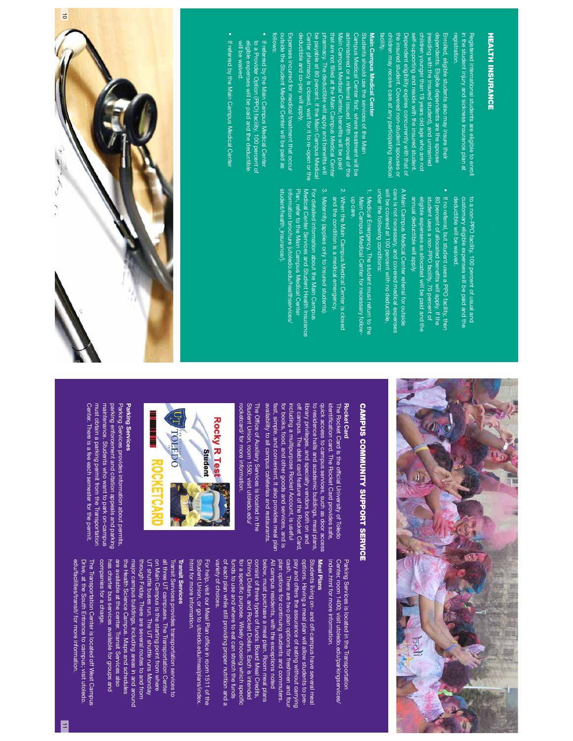# **HEALTH INSURANCE** HEALTH INSURANCE

registration registration. in the student injury and sickness insurance plan at in the student injury and sickness insurance plan at Hegistered international students are eligible to enroll Registered international students are eligible to enroll

facility. children may receive care at any participating medical children may receive care at any participating medical the insured student. Covered non-student spouses or Dependent eligibility expires concurrently with that of self-supporting and reside with the insured student. children younger than 19 years old age who are not children younger than 19 years old age who are not (residing with the insured student), and unmarried dependents. Liigible dependents are the spouse dependents. Eligible dependents are the spouse Enrolled, eligible students also may insure their Enrolled, eligible students also may insure their the insured student. Covered non-student spouses or Dependent eligibility expires concurrently with that of  $\sim$ self-supporting and reside with the insured student. residing with the insured student), and unmarried

### Students should use the services of the Main Main Campus Medical Center Main Campus Medical Center Students should use the services of the Main

deductible and co-pay will apply. deductible and co-pay will apply. Center pharmacy is closed, wait for it to re-open or the be payable at 80 percent. If the Main Campus Medical pharmacy. The deductible will apply and benethat are not Main Campus Medical Center, bene administered or a referral issued. With approval of the Campus Medical Center first, where treatment will be Campus Medical Center Center pharmacy is closed, wait for it to re-open or the hat are not filled at the Main Campus Medical Center Vlain Campus Medical Center, benefits will be paid administered or a referral issued. With approval of the lled at the Main Campus Medical Center rst, where treatment will be ts will be paid fts will

follows: outside the Student Medical Center will be paid as outside the Student Medical Center will be paid as Expenses incurred for medical treatment that occur Expenses incurred for medical treatment that occu

- If referred by the Main Campus Medical Center to a Provider Option (PPO) facility, 100 percent of<br>eligible expenses will be paid and the deductible eligible expenses will be paid and the deductible to a Provider Option (PPO) facility, 100 percent of If referred by the Main Campus Medical Center
- If referred by the Main Campus Medical Center If referred by the Main Campus Medical Center

will be waived.

will be waived.

deductible will be waived. customary eligible expenses will be paid and the to a non-PPO facility, 100 percent of usual and deductible will be waived. customary eligible expenses will be paid and the to a non-PPO facility, 100 percent of usual and

If no referral, but student uses a PPO facility, ther annual deductible will apply. eligible expenses as allocated will be paid and the student uses a non-PPO facility, 70 percent of 80 percent of allocated benefits will apply. If the annual deductible will apply. eligible expenses as allocated will be paid and the student uses a non-PPO facility, 70 percent of 80 percent of allocated bene If no referral, but student uses a PPO facility, then ts will apply. If the

care is not necessary, and covered medical expenses under the following conditions: will be covered at 100 percent with no deductible, A Main Campus Medical Center referral for outside A Main Campus Medical Center referral for outside under the following conditions: will be covered at 100 percent with no deductible, care is not necessary, and covered medical expenses

- 1. Medical Emergency. The student must return to the up care. Main Campus Medical Center for necessary follow-Main Campus Medical Center for necessary follow-Medical Emergency. The student must return to the
- 2. When the Main Campus Medical Center is closed and the condition is a medical emergency. and the condition is a medical emergency. When the Main Campus Medical Center is closed
- 3. Maternity (applies only to insured students) Maternity (applies only to insured students).

student/health\_insurance/) information brochure (utoledo.edu/healthservices/ Plan, refer to the Main Campus Medical Center Medical Center Services and Student Health Insurance For detailed information about the Main Campus student/health\_insurance/). information brochure (utoledo.edu/healthservices/ Plan, refer to the Main Campus Medical Center Medical Center Services and Student Health Insurance For detailed information about the Main Campus





# **CAMPUS COMMUNITY SUPPORT SERVICE** CAMPUS COMMUNITY SUPPORT SERVICE

#### Rocket Card Rocket Card

off campus. The debit card feature of the Rocket Card, quick access to campus services, such as door access Student Union, room 1550; visit utoledo.edu/ Student Union, room 1550; visit utoledo.edu/ The Of favailability to all campus cafeterias and restaurants availability to all campus cafeterias and restaurants. fast, simple, and convenient. It also provides meal plan for books, food, and other goods and services, and is including a multipurpose Rocket Account, is useful including a multipurpose Rocket Account, is useful off campus. The debit card feature of the Rocket Card, library privileges, and specialty vendors both on and library privileges, and specialty vendors both on and to residence halls and academic buildings, meal plans, to residence halls and academic buildings, meal plans, quick access to campus services, such as door access identifThe Rocket Card is the of fast, simple, and convenient. It also provides meal plan for books, food, and other goods and services, and is The Rocket Card is the official University of Toledo cation card. The Rocket Card provides safe, ce of Auxiliary Services is located in the cial University of Toledo



rocketcard/ for more information.

#### Parking Services Parking Services

maintenance. Students who want to park on-campus parking enforcement and citation appeals and parking Center. There is a fee each semester for the permit. Center. There is a fee each semester for the permit. must obtain a parking permit from the Transportation must obtain a parking permit from the Transportation maintenance. Students who want to park on-campus parking enforcement and citation appeals and parking Parking Services provides information about permits, Parking Services provides information about permits,

> Center, room 1400; visit utoledo.edu/parkingservices/ index.html for more information. index.html for more information. Center, room 1400; visit utoledo.edu/parkingservices/ Parking Services is located in the Transportation Parking Services is located in the Transportation

#### Meal Plans Meal Plans

variety of choices variety of choices. of each plan while still providing proper nutrition and a of each plan while still providing proper nutrition and a funds to use and where to eat can stretch the funds funds to use and where to eat can stretch the funds for a speci Dining Dollars, and Rocket Dollars. Each is intended consist of three types of funds: Board Meal Credits, consist of three types of funds: Board Meal Credits, below, must purchase a meal plan. Room meal plans All campus residents, with the exceptions noted All campus residents, with the exceptions noted plan options for continuing students and commuters. cash. There are two plan options for freshmen and four cash. There are two plan options for freshmen and four pay and offers the assurance of eating without carrying options. Having a meal plan will allow students to preoptions. Having a meal plan will allow students to pre-Students living on- and off-campus have several meal Students living on- and off-campus have several meal Dining Dollars, and Rocket Dollars. Each is intended below, must purchase a meal plan. Room meal plans plan options for continuing students and commuters. pay and offers the assurance of eating without carrying ⇒ c purpose. Wisely choosing which speci $\vec{5}$ 

html for more information. Student Union, or go to utoledo.edu/mealplans/index Student Union, or go to utoledo.edu/mealplans/index.For help, visit our Meal Plan office in room 1511 of the html for more information. For help, visit our Meal Plan of ce in room 1511 of the

### **Transit Services** Transit Services

major campus buildings, including areas in and around<br>the Health Science Campus. Maps and schedules<br>are available at the center. Transit Services also has charter bus services available for groups and are available at the center. Transit Services also the Health Science Campus. Maps and schedules through Friday. There are several routes to and from through Friday. There are several routes to and from UT shuttle buses run. The UT shuttle runs Monday on Main Campus is the starting point from where on Main Campus is the starting point from where all three UT campuses. The Transportation Center all three UT campuses. The Transportation Center Transit Services provides transportation services to has charter bus services available for groups and major campus buildings, including areas in and around UT shuttle buses run. The UT shuttle runs Monday Transit Services provides transportation services to

edu/facilities/transit/ for more information. Drive, at the South Entrance to campus; visit utoledo. The Transportation Center is located off West Campus The Transportation Center is located off West Campus companies tor a charge. companies for a charge. edu/facilities/transit/ for more information Drive, at the South Entrance to campus; visit utoledo.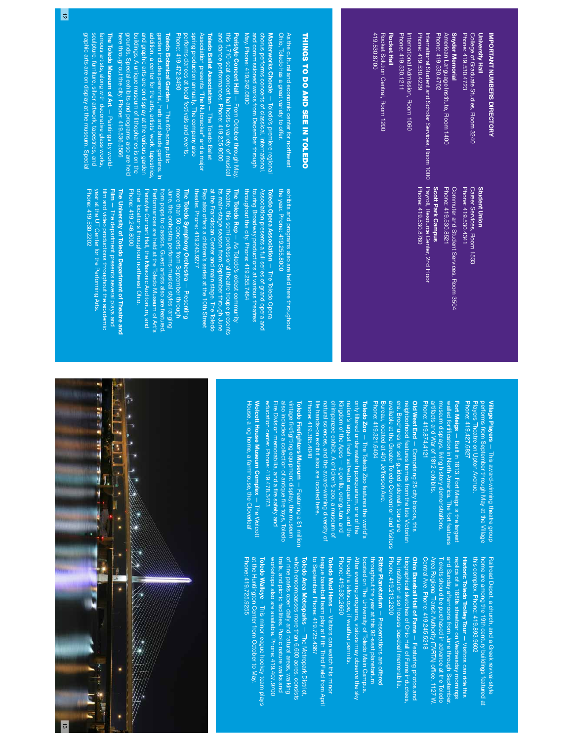# IMPORTANT NUMBERS DIRECTORY IMPORTANT NUMBERS DIRECTORY

College of Graduate Studies, Room 3240<br>Phone: 419.530.4723 Phone: 419.530.4723 College of Graduate Studies, Room 3240 University Hall University Hall

American Language Institute, Room 1400<br>Phone: 419.530.4702 Phone: 419.530.4702 American Language Institute, Room 1400 Snyder Memorial Snyder Memorial

Phone: 419.530.4229 Phone: 419.530.4229 International Student and Scholar Services, Room 1000 nternational Student and Scholar Services, Room 1000

Rocket Hall Rocket Hall Phone: 419.530.1211 Phone: 419.530.1211

### **Student Union** Student Union

Payroll, Resource Center, 2nd Floor Payroll, Resource Center, 2nd Floor Scott Park Campus Scott Park Campus

International Admission, Room 1060 International Admission, Room 1060

419.530.8700 419.530.8700 Rocket Solution Central, Room 1200 Rocket Solution Central, Room 1200

#### Career Services, Room 1533<br>Phone: 419.530.4341 Phone: 419.530.4341 Career Services, Room 1533

Commuter and Student Services, Room 3504<br>Phone: 419.530.8521 Phone: 419.530.8521 Commuter and Student Services, Room 3504

Phone: 419.530.8780 Phone: 419.530.8780

THINGS TO DO AND SEE IN TOLEDO THINGS TO DO AND SEE IN TOLEDO

Masterworks Chorale Ohio, Toledo has a great variety to offer. Ohio, Toledo has a great variety to offer. As the cultural and economic center for northwest As the cultural and economic center for northwest Masterworks Chorale - Toledo's premiere regiona — Toledo's premiere regional

May. Phone: 419.242.0800 and commissioned works from December through chorus performs concerts of classical, international chorus performs concerts of classical, international, May. Phone: 419.242.0800 and commissioned works from December through

performs dances at local festivals and events. spring production annually. The company also Association presents "The Nutcracker" and a major Toledo Ballet Association and dance performances. Phone: 419.255.8000 and dance performances. Phone: 419.255.8000 Peristyle Concert Hall — From October through May,<br>this 1,710-seat concert hall hosts a variety of musical this 1,710-seat concert hall hosts a variety of musical Peristyle Concert Hall berforms dances at local festivals and events. spring production annually. The company also **The Toledo Ballet Association - The Toledo Ballet** iation presents "The Nutcra — From October through May, — The Toledo Ballet acker" and a major

here throughout the city. Phone: 419.536.5566 grounds. Special exhibits and programs also are held buildings. A unique museum of lithophanes is on the and graphic arts are on display at the various garden and graphic arts are on display at the various garden addition, a center for the arts, artists' work, tapestries, garden includes perennial, herb and shade gardens. In Toledo Botanical Garden nere throughout the city. Phone: 419.536.5566 grounds. Special exhibits and programs also are helc Toledo Botanical Garden - This 60-acre public Phone: 419.472.3490 tion, a center for the arts, artists' work, tapestries 198. A unique museum of lithophanes is on the des perennial, herb and shade gardens. In — This 60-acre public

Phone: 419.472.3490

graphic arts are on display at the museum. Special farnous artists, along with decorative glass works,<br>sculpture, furniture, silver artwork, tapestries, and<br>graphic arts are on display at the museum. Special sculpture, furniture, silver artwork, tapestries, and The Toledo Museum of Art amous artists, along with decorative glass works, The Toledo Museum of Art - Paintings by world-— Paintings by world-

> the year. Phone: 419.255.8000 exhibits and programs also are held here throughout the year. Phone: 419.255.8000 exhibits and programs also are held here throughout

touring Broadway productions at various theatres Association presents a full series of grand opera and 호 throughout the city. Phone: 419.255.7464 throughout the city. Phone: 419.255.7464 touring Broadway productions at various theatres Toledo Opera Association ledo Opera Association - The Toledo Opera tion presents a full series of grand opera and — The Toledo Opera

theater. Phone: 419.243.9277 Rep also offers a children's series at the 10th Street at the Franciscan Center and main stage. The Toledo theater. Phone: 419.243.9277 Rep also offers a children's series at the 10th Street at the Franciscan Center and main stage. The Toledo its main-stage season from September through June its main-stage season from September through June theatre, this semi-professional theatre troupe presents theatre, this semi-professional theatre troupe presents The Toledo Rep - As Toledo's oldest community The Toledo Rep — As Toledo's oldest community

Phone: 419.246.8000 other locations throughout northwest Ohio. Peristyle Concert Hall, the Masonic Auditorium, and from pops to classics. Guest artists also are featured. more than 50 concerts from September through Phone: 419.246.8000 other locations throughout northwest Ohio. Peristyle Concert Hall, the Masonic Auditorium, and Performances are held at the Toledo Museum of Art's Performances are held at the Toledo Museum of Art's from pops to classics. Guest artists also are featured. June, the orchestra performs musical styles ranging June, the orchestra performs musical styles ranging more than 50 concerts from September through The Toledo Symphony Orchestra  $-$  Presenting The Toledo Symphony Orchestra — Presenting

Phone: 419.530.2202 film and video productions throughout the academic Film - The department presents several plays and The University of Toledo Department of Theatre and Phone: 419.530.2202 year at the UT Center for the Performing Arts. year at the UT Center for the Performing Arts. The University of Toledo Department of Theatre and lm and video productions throughout the academic — The department presents several plays and

> Phone: 419.427.6827 performs from September through May at the Village Village Players - This award-winning theatre group Phone: 419.427.6827 Players Theatre on Upton Avenue. Players Theatre on Upton Avenue. performs from September through May at the Village Village Players — This award-winning theatre group

Phone: 419.874.4121 artifacts and War of 1812 exhibits. museum displays, living history demonstrations, walled fortification in North America. The fort features Fort Meigs - Built in 1813, Fort Meigs is the largest Phone: 419.874.4121 artifacts and War of 1812 exhibits. museum displays, living history demonstrations, walled fortiFort Meigs — Built in 1813, Fort Meigs is the largest cation in North America. The fort features

Old West End - Comprising 25 city blocks, this era. Brochures for self-guided sidewalk tours are Phone: 419.321.6404 Phone: 419.321.6404 Bureau, located at 401 Jefferson Ave. Bureau, located at 401 Jefferson Ave. available at the Greater Toledo Convention and Visitors available at the Greater Toledo Convention and Visitors era. Brochures for self-guided sidewalk tours are neighborhood features homes from the late Victorian neighborhood features homes from the late Victorian Old West End — Comprising 25 city blocks, this

chimpanzee exhibit. A children's zoo, a museum of nation's largest fresh saltwater aquariums, and the Toledo Zoo - The Toledo Zoo features the world's Phone: 419.385.4040 Phone: 419.385.4040 life hands-on exhibit also are located here. life hands-on exhibit also are located here. natural sciences, and the award-winning diversity of natural sciences, and the award-winning diversity of chimpanzee exhibit. A children's zoo, a museum of Kingdom of the Apes - a gorilla, orangutan, and Kingdom of the Apes — a gorilla, orangutan, and nation's largest fresh saltwater aquariums, and the only fToledo Zoo ltered underwater hippoquarium, one of the — The Toledo Zoo features the world's

education center. Phone: 419.478.3473 education center. Phone: 419.478.3473 Fire Division memorabilia, and a fire safety and Fire Division memorabilia, and a also includes a collection of antique vintage frefToledo Firefighters Museum - Featuring a \$1 million Toledo Fire includes a collection of antique fire toys, Toledo ghting equipment display, the museum ghters Museum — Featuring a \$1 million re safety and re toys, Toledo

House, a log home, a farmhouse, the Cloverleaf Wolcott House Museum Complex - The Wolcott House, a log home, a farmhouse, the Cloverleaf Wolcott House Museum Complex — The Wolcott

> this complex. Phone: 419.893.9602 this complex. Phone: 419.893.9602 home are among the 19th century buildings featured at Railroad Depot, a church, and a Greek revival-style home are among the 19th century buildings featured at Railroad Depot, a church, and a Greek revival-style

Central Ave. Phone: 419.245.5218 Area Regional Transit Authority (TARTA) of Tickets should be purchased in advance at the Toledo and Sunday afternoons from June through September replica of a 1880s streetcar on Wednesday mornings Central Ave. Phone: 419.245.5218 Area Regional Transit Authority (TARTA) office, 1127 W and Sunday afternoons from June through September. replica of a 1880s streetcar on Wednesday mornings Historic Toledo Trolley Tour - Visitors can ride this Historic Toledo Trolley Tour lickets should be purchased in advance at the Toledo — Visitors can ride this ce, 1127 W.

Phone: 419.213.2200 the institution also houses baseball memorabilia. the institution also houses baseball memorabilia. Ohio Baseball Hall of Fame - Featuring photos and Phone: 419.213.2200 biographical sketches of Ohio Hall of Fame inductees, biographical sketches of Ohio Hall of Fame inductees, Ohio Baseball Hall of Fame — Featuring photos and

Phone: 419.530.2650 through a telescope, if weather permits. through a telescope, if weather permits. After evening programs, visitors may observe the sky After evening programs, visitors may observe the sky throughout the year at this 92-seat planetarium Phone: 419.530.2650 located on The University of Toledo Main Campus. located on The University of Toledo Main Campus. throughout the year at this 92-seat planetarium **Ritter Planetarium —** Presentations are offered Ritter Planetarium — Presentations are offered

to September. Phone: 419.725.4367 Toledo Mud Hens - Visitors can watch this minor to September. Phone: 419.725.4367 league baseball team play at Fifth Third Field from April league baseball team play at Fifth Third Field from April Toledo Mud Hens — Visitors can watch this minor

trails, and picnic facilities. Public nature walks and trails, and picnic facilities. Public nature walks and of nine parks open daily and natural areas, walking Toledo Area Metroparks - The Metropark District workshops also are available. Phone: 419.407.9700 workshops also are available. Phone: 419.407.9700 of nine parks open daily and natural areas, walking which encompasses more than 6,600 acres, consists which encompasses more than 6,600 acres, consists Toledo Area Metroparks — The Metropark District,

Phone: 419.725.9255 at the Huntington Center from October to May. Phone: 419.725.9255 at the Huntington Center from October to May. Toledo Walleye - This minor league hockey team plays Toledo Walleye – This minor league hockey team plays

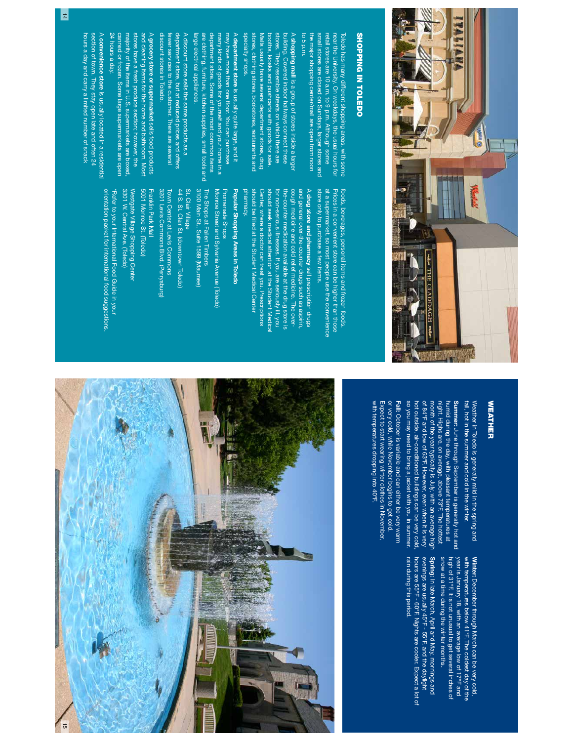

# SHOPPING IN TOLEDO SHOPPING IN TOLEDO

to 5 p.m. the major shopping center/mall are open from noon the major shopping center/mall are open from noon small stores are closed on Sundays, larger stores and small stores are closed on Sundays, larger stores and retail stores are 10 a.m. to 9 p.m. Although some retail stores are 10 a.m. to 9 p.m. Although some Toledo has many different shopping areas, with some<br>near the University. On weekdays, the usual hours for near the University. On weekdays, the usual hours for Toledo has many different shopping areas, with some

specialty shops. specialty shops. stores, clothing stores, bookstores, restaurants and stores, clothing stores, bookstores, restaurants and Malls usually have several department stores, drug booths, kiosks and pushcarts with goods for sale. stores. They resemble streets on which there are stores. They resemble streets on which there are building. Covered indoor hallways connect these building. Covered indoor hallways connect these Vialis usually have several department stores, drug pooths, kiosks and pushcarts with goods for sale. A shopping mall is a group of stores inside a large shopping mall is a group of stores inside a larger

large electrical appliances large electrical appliances. are clothing, furniture, kitchen supplies, small tools and are clothing, furniture, kitchen supplies, small tools and department store. Some of the most common items department store. Some of the most common items many kinds of goods for yourself and your home in a many kinds of goods for yourself and your home in a may have more than one floor. You can purchase may have more than one A department store is usually quite large, and it department store is usually quite large, and it oor. You can purchase

discount stores in Toledo. discount stores in Toledo. fewer services to the customer. There are several department store, but at reduced prices and offers department store, but at reduced prices and offers A discount store sells the same products as a A discount store sells the same products as a ewer services to the customer. There are several

24 hours a day 24 hours a day. canned or frozen. Some large supermarkets are open canned or frozen. Some large supermarkets are open majority of the items in U.S. supermarkets are boxed, majority of the items in U.S. supermarkets are boxed, stores have a fresh produce section; however, the stores have a fresh produce section; however, the and cleaning items for the home and bathroom. Most and cleaning items for the home and bathroom. Most A grocery store or supermarket sells food products grocery store or supermarket sells food products

hours a day and carry a limited number of snack hours a day and carry a limited number of snack section of town. They stay open late and often 24 section of town. They stay open late and often 24 A convenience store is usually located in a residential convenience storeis usually located in a residential

> store only to purchase a few items. at a supermarket, so most people use the convenience Prices in a convenient store can be higher than those store only to purchase a few items. at a supermarket, so most people use the convenience Prices in a convenient store can be higher than those foods, beverages, personal items and frozen foods. foods, beverages, personal items and frozen foods.

pharmacy. should be filled at the Student Medical Center Center, where a doctor can treat you. Prescriptions should seek medical attention at the Student Medica for non-serious illnesses. If you are seriously ill, you the-counter medication available at the drug store is cough medicine and cold relief medicine. The overand general over-the-counter drugs such as aspirin, A drug store and pharmacy sell prescription drugs pharmacy. should be Center, where a doctor can treat you. Prescriptions should seek medical attention at the Student Medical for non-serious illnesses. If you are seriously ill, you the-counter medication available at the drug store is cough medicine and cold relief medicine. The overand general over-the-counter drugs such as aspirin, drug store and pharmacy lled at the Student Medical Center sell prescription drugs

# Popular Shopping Areas in Toledo Popular Shopping Areas in Toledo

Promenade Shops<br>Monroe Street and Sylvania Avenue (Toledo) The Shops at Fallen Timbers The Shops at Fallen Timbers Monroe Street and Sylvania Avenue (Toledo) Promenade Shops

3100 Main St., Suite 1599 (Maumee) 3100 Main St., Suite 1599 (Maumee)

44 S. St. Clair St. (downtown Toledo) St. Clair Village 44 S. St. Clair St. (downtown Toledo) St. Clair Village

Town Center at Levis Commons<br>3201 Levis Commons Blvd. (Perrysburg) 3201 Levis Commons Blvd. (Perrysburg) Town Center at Levis Commons

5001 Monroe St. (Toledo) Franklin Park Mall 5001 Monroe St. (Toledo) Franklin Park Mall

Westgate Village Shopping Center<br>3301 W. Central Ave. (Toledo) 3301 W. Central Ave. (Toledo) Westgate Village Shopping Center

orientation packet for international food suggestions \*Refer to your International Food Guide in your orientation packet for international food suggestions. \*Refer to your International Food Guide in your

#### **WEATHER** WEATHER

fall, hot in the summer and cold in the winter. Weather in Toledo is generally mild in the spring and fall, hot in the summer and cold in the winter. Weather in Toledo is generally mild in the spring and

so you may need to bring a jacket with you in summer. hot outside, air-conditioned buildings can be very cold. of 84°F and low of 63°F. However, even when it is very month of the year typically is July, with an average high night. Highs are, on average, above 73°F. The hottest humid during the day, with pleasant temperatures at Summer: June through September is generally hot and so you may need to bring a jacket with you in summer. hot outside, air-conditioned buildings can be very cold, of 84°F and low of 63°F. However, even when it is very month of the year typically is July, with an average high night. Highs are, on average, above 73°F. The hottest humid during the day, with pleasant temperatures at Summer: June through September is generally hot and

Fall: October is variable and can either be very warm with temperatures dropping into 40°F. Expect to start wearing winter clothes in November, or very cold, while November begins to get cold. with temperatures dropping into 40°F. Expect to start wearing winter clothes in November, or very cold, while November begins to get cold. October is variable and can either be very warm

> Winter: December through March can be very cold, snow at a time during the winter months. high of 31°F. It is not unusual to get several inches of year is January 18, with an average low of 17°F and year is January 18, with an average low of 17°F and with temperatures below 41°F. The coldest day of the snow at a time during the winter months. high of 31°F. It is not unusual to get several inches of with temperatures below 41°F. The coldest day of the December through March can be very cold,

Spring: In late March, April and May, mornings and rain during this period. hours are 55°F - 60°F. Nights are cooler. Expect a lot of evenings are usually 45°F - 55°F, and the daylight rain during this period. hours are 55°F - 60°F. Nights are cooler. Expect a lot of evenings are usually 45°F - 55°F, and the daylight In late March, April and May, mornings and

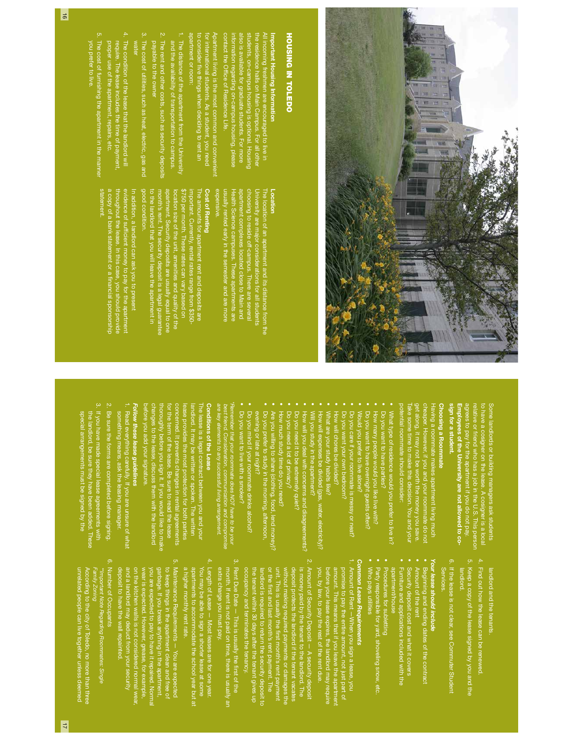

# **HOUSING IN TOLEDO** HOUSING IN TOLEDO

#### students, on-campus housing is optional. Housing the residence halls on Main Campus. For all other All incoming freshmen are encouraged to live in the residence halls on Main Campus. For all other Important Housing Information Important Housing Information dents, on-campus housing incoming freshmen are encouraged to live in is optional. Housing

Apartment living is the most common and convenient contact the Of also is available for graduate students. For more nformation regarding on-campus housing, please<br>contact the Office of Residence Life. information regarding on-campus housing, please liso is available for graduate students. For more ce of Residence Life.

apartment or room: to consider for international students. As a student, you need apartment or room: Apartment living is the most common and convenient itional students. As a student, you need ve things when deciding to rent an

- 1. The distance of the apartment from the University and the availability of transportation to campus. The distance of the apartment from the University
- 2. The rent and other costs, such as security deposits payable to the owner The rent and other costs, such as security deposits
- 3. The cost of utilities, such as heat, electric, gas and The cost of utilities, such as heat, electric, gas and
- water 4. The condition of the lease that the landlord wil The condition of the lease that the landlord will
- proper use of the apartment, repairs, etc. proper use of the apartment, repairs, etc. require. The lease includes the time of payment, require. The lease includes the time of payment,
- 5. The cost of furnishing the apartment in the manner you prefer to live. The cost of furnishing the apartment in the manner

 $\frac{1}{6}$ 

statement.

#### Location Location

choosing to reside off-campus. There are several The location of an apartment and its distance from the expensive. usually rented early in the semester and are more Health Science campuses. These apartments are apartment complexes located close to Main and choosing to reside off-campus. There are several University are major considerations for all students University are major considerations for all students The location of an apartment and its distance from the usually rented early in the semester and are more Health Science campuses. These apartments are apartment complexes located close to Main and

#### **Cost of Renting** Cost of Renting

**1092\$**<br>2550 good condrion. The amounts for apartment rent and deposits are good condition. to the landlord that you will leave the apartment in month's rent. The security deposit is a legal guarantee apartment. Security deposits are usually equal to one location size of the unit, amenities and quality of the \$750 per month. These rates can vary based on important. Currently, rental rates range from \$350 apartment. Security deposits are usually equal to or The amounts for apartment rent and deposits are the landlord that you will leave the apartment in rtant. Currently, rental rates range from \$350-<br>per month. These rates can vary based on ty of the

a copy of a bank statement or a financial sponsorship a copy of a bank statement or a throughout the I throughout the lease. In this case, you should provide evidence of suf In addition, a landlord can ask you to present n addition, a landlord can ask you to preser lease. In this case, you should provic ïcient money to pay for the apartment cient money to pay for the apartment nancial sponsorship

> sign for a student. Employees of the University are not allowed to coagrees to pay for the apartment if you do not pay. relative or friend who has a job in the U.S. This person to have a cosigner on the lease. A cosigner is a local to have a cosigner on the lease. A cosigner is a local Some landlords or building managers ask students Some landlords or building managers ask students sign for a student. Employees of the University are not allowed to corelative or friend who has a job in the U.S. This person

## Choosing a Roommate Choosing a Roommate

Take some time to make this decision. You and your potential roommate should consider: get along, it may not be worth the money you save. cheaper. However, if you and your roommate do not Having a roommate makes apartment living much ake some time to make this decision. You and your get along, it may not be worth the money you save. Having a roommate makes apartment living much

- What type of residence would you prefer to live in? What type of residence would you prefer to live in?
- Do you want to have parties' Do you want to have parties?
- How many people would you like live with? How many people would you like live with?
- Do you want to have overnight guests often? Do you want to have overnight guests often?
- Would you prefer to live alone? Would you prefer to live alone?
- • Do you care if your roommate is messy or neat?
- Do you want your own bedroom? How will chores be divided?
- • What are your study habits like? ores be divided?
- How will expenses be divided (gas, water, electricity)? nses be divided (gas, water, electricity)?

•

•

- Will you study in the apartment? you study in the apartment?
- How will you deal with concerns and disagreements? How will you deal with concerns and disagreements?
- Lo you need it to be extremely quet? Do you need it to be extremely quiet?
- 
- Do you need a lot of privacy? Do you need a lot of privacy? •
- Are you willing to share (clothing, food, lend money)? Are you willing to share (clothing, food, lend money)? How much study time do you need? How much study time do you need?

•

- Do you prefer to study in the morning, afternoon, Do you prefer to study in the morning, afternoon,
- Do you mind if your roommate drinks alcohol? evening or late at night? Do you mind if your roommate drinks alcohol? evening or late at night?
- Do you want to live with a smoker? Do you want to live with a smoker?

\*Remember that your roommate does NOT have to be your Remember that your roommate does NOT have to be your<br>best friend. Consideration, communication and compromis<br>are key elements to any successful living arrangement. are key elements to any successful living arrangement. best friend. Consideration, communication and compromise

# Conditions of the Lease Conditions of the Lease

The lease is a legal contract between you and your before you add your signature. changes to the lease, discuss them with the landlord thoroughly before you sign it. If you would like to make for the term of the lease. Be sure to read the lease concerned. It prevents changes in rental agreements lease provides the most protection for both parties landlord. It may be written or spoken. The written or the term of the lease. Be sure to read the lease he lease is a legal contract between you and your oncerned. It prevents changes in rental agreements ease provides the most protection for both parties andlord. It may be written or spoken. The written ghly before you sign it. If you would like to make

# Follow these lease guidelines Follow these lease guidelines

- l. Read everything carefully. If you are unsure of what something means, ask the leasing manager something means, ask the leasing manager. Read everything carefully. If you are unsure of what
- 2. Be sure the forms are completed before signing. Be sure the forms are completed before signing.
- 3. If you have made special lease agreements with If you have made special lease agreements with
- special arrangements must be signed by the special arrangements must be signed by the the landlord, be sure they have been added. I hese the landlord, be sure they have been added. These

- landlord and the tenants. landlord and the tenants.
- Find out how the lease can be renewed.
- landlord. Keep a copy of the lease signed by you and the
- 6. If the lease is not clear, see Commuter Student Services. If the lease is not clear, see Commuter Student

# Your lease should include Your lease should include

- Beginning and ending dates of the contract
- Amount of the rent Amount of the rent
- Security deposit cost and what it covers
- Furniture and applications included with the Furniture and applications included with the
- apartment/house
- Procedures for subletting
- Party responsible for yard, shoveling snow, etc. • Who pays utilities Who pays utilities

# **Common Lease Requirements** Common Lease Requirements

1.

- you, by law, to pay the rest of the rent due. amount. This means that if you leave the apartmen amount. This means that if you leave the apartment Amount of Rent —When you sign a lease, you before your lease expires, the landlord may require promise to pay the entire amount, not just part of ore your lease expires, the landlord may require
- occupancy and terminates the tenancy. occupancy and terminates the tenancy. the tenant within 30 days after the tenant gives up the tenant within 30 days after the tenant gives up or the fwithout making required payments or damages the<br>unit. This is usually the first month's rent payment without making required payments or damages the deposit protects the landlord if the tenant vacates is money paid by the tenant to the lar Amount of Security Deposit — A security deposit landlord is required to return the security deposit to landlord is required to return the security deposit to unit. This is usually the is money paid by the tenant to the landlord. The deposit protects the landlord if the tenant vacates rst and last month's rent payment. The rst month's rent payment
- ب extra charge you must pay. month. If rent is not paid on time, there is usually ar extra charge you must pay. Rent Due Date — This is usually the month. If rent is not paid on time, there is usually an rst of the
- a nigher monthly rent rate. a higher monthly rent rate. apartments to accommodate the school year but at apartments to accommodate the school year but at You may be able to sign a shorter lease at some You may be able to sign a shorter lease at some Length of Lease — Most leases are for one year.
- 5. Maintenance Requirements You are expected deposit to have the wall repainted. deposit to have the wall repainted. and a landlord may deduct from your security and a landlord may deduct from your security on the kitchen walls is not considered normal wear on the kitchen walls is not considered normal wear, wear is expected. However, grease, for example, you are expected to pay to have it repaired. Norma you are expected to pay to have it repaired. Normal garbage. If you break anything in the apartment, garbage. If you break anything in the apartment, to keep things in the apartment clean and free of Maintenance Requirements — You are expected keep things in the apartment clean and free of
- 6. Number of Occupants Number of Occupants
- Family Zoning \*\*Important Note Regarding Roommates: Single oortant Note Regarding Roommates: Single

unrelated people can live together unless deemed According to the city of Toledo, no more than three unrelated people can live together unless deemed According to the city of Toledo, no more than thre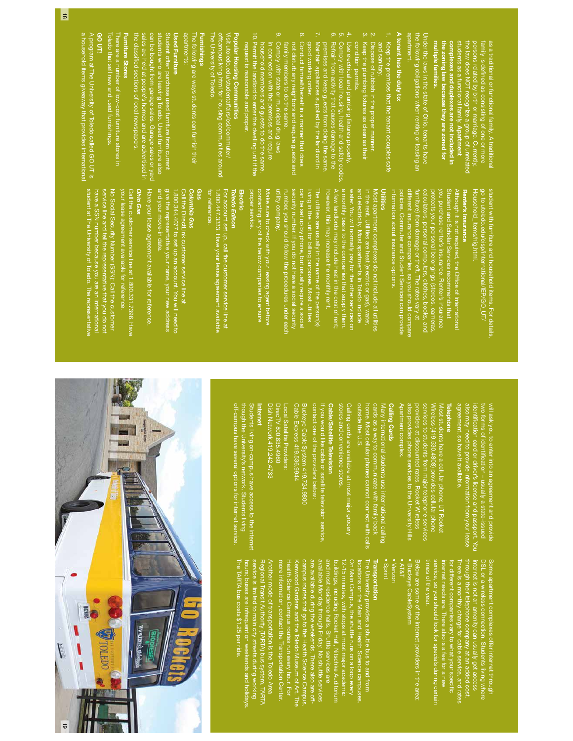|                                                                  |                                                                                                                | a household items giveaway that provides international                |
|------------------------------------------------------------------|----------------------------------------------------------------------------------------------------------------|-----------------------------------------------------------------------|
|                                                                  | student at The University of Toledo. The representative                                                        | A program at The University of Toledo called GO UT is                 |
|                                                                  | have a SSN number because you are an international                                                             | GO UT!                                                                |
|                                                                  | service line and tell the representative that you do not<br>No Social Security Number (SSN): Call the customer | Toledo that sell new and used furnishings.                            |
|                                                                  |                                                                                                                | There are a number of low-cost furniture stores in                    |
|                                                                  | your lease agreement available for reference                                                                   | Furniture Stores                                                      |
|                                                                  | Call the customer service line at 1.800.331.7396. Have                                                         | the classified sections of local newspapers.                          |
|                                                                  | Ohio Gas                                                                                                       | les are held at people's homes and are advertised in                  |
|                                                                  | Have your lease agreement available for reference                                                              | can be bought from garage sales. Garage sales or yard                 |
|                                                                  | and your move-in date.                                                                                         | students who are leaving Toledo. Used furniture also                  |
|                                                                  | give the representative your name, your new address                                                            | Student often purchase used furniture from current                    |
|                                                                  | .800.344.4077 to set up an account. You will need to                                                           | <b>Used Furniture</b>                                                 |
|                                                                  | Call the DirectLink customer service line at                                                                   | apartments:                                                           |
|                                                                  | Columbia Gas                                                                                                   | The following are ways students can furnish their                     |
|                                                                  |                                                                                                                | <b>Furnishings</b>                                                    |
|                                                                  | for reference.                                                                                                 | The University of Toledo.                                             |
|                                                                  | .800.447.3333. Have your lease agreement available                                                             | offcampusliving.html for housing communities around                   |
|                                                                  | For account set up, call the customer service line at                                                          | Visit utoledo.edu/studentaffairs/osi/commuter/                        |
| off-campus have several options for internet service             | Toledo Edison                                                                                                  | Popular Housing Communities                                           |
| though the<br>University's network. Students living              |                                                                                                                |                                                                       |
| <b>Students li</b><br>ving on-campus have access to the internet | proper service.                                                                                                | request is reasonable and proper.                                     |
|                                                                  |                                                                                                                | 10. Permit the landlord to enter the dwelling unit if the             |
| Internet                                                         | contacting any of the below companies to ensure                                                                | household members and guests to do the same.                          |
| Dish Network 419.242.4733                                        | Make sure to check with your leasing agent before                                                              | in connection with the premises and require                           |
| DirecTV 800.835.4960                                             | utility company.                                                                                               | 9.<br>Comply with state or municipal drug laws                        |
| -ocal Satellite Providers:                                       | number, you should follow the procedures under each                                                            | family members to do the same.                                        |
| Cable Expr<br>ess 419.536.9944                                   | security number. If you do not have a social security                                                          | not disturb any neighbors and require guests and                      |
| Buckeye Cable System 419.724.9800                                | can be set up by phone, but usually require a socia                                                            | $\infty$<br>Conduct himself/herself in a manner that does             |
|                                                                  | living in the unit for billing purposes. Most utilities                                                        | good working order.                                                   |
| contact one of the providers below:                              | The utilities are usually in the name of the person(s)                                                         | N,<br>Maintain appliances supplied by the landlord in                 |
| If you would like cable or satellite television service,         | however, this may increase the monthly rent.                                                                   | premises and keep guests from doing the same.                         |
| Cable/Satellite Television                                       | A few landlords may include heat in the cost of rent;                                                          | ō.<br>Refrain from activity that causes damage to the                 |
| stores and<br>convenience stores.                                | a monthly basis to the companies that supply them.                                                             | $\mathfrak{S}$<br>Comply with local housing, health and safety codes. |
| Calling cards are available at most major grocery                | water. You will normally pay for the other services on                                                         | $\overline{4}$<br>Use electrical and plumbing fixtures properly.      |
| outside the U.S.                                                 | and electricity. Most apartments in Toledo include                                                             | condition permits.                                                    |
| home. Most cellular phones cannot connect with calls             | in the rent. Utilities are heat (electric or gas), water,                                                      | $\omega$<br>Keep the plumbing fixtures as clean as their              |
| cards as a<br>way to communicate with family back                | lost apartment complexes do not include all utilities                                                          | $\mathbb{N}$<br>Dispose of rubbish in the proper manner.              |
| Many international students use international calling            | Utilities                                                                                                      | and sanitary.                                                         |
| <b>Calling Cards</b>                                             | information about insurance options.                                                                           | Keep the premises that the tenant occupies safe                       |
| Apartment complex.                                               | policies. Commuter and Student Services can provide                                                            | A tenant has the duty to:                                             |
| also provid<br>es phone services to the University Hills         | different insurance companies, so you should compare                                                           | apartment.                                                            |
| providers at discounted rates. Rocket Wireless                   | furniture) from damage or theft. The rates vary at                                                             | the following obligations when renting or leasing an                  |
| services to students from major telephone services               | calculators, personal computers, clothes, books, and                                                           | Under the laws in the state of Ohio, tenants have                     |
| Wireless (4<br>119.530.4808) provides cellular phone             | protects your personal belongings (stereos, cameras,                                                           |                                                                       |
|                                                                  |                                                                                                                | multiple families.                                                    |
| Most students have a cellular phone; UT Rocke                    | you purchase renter's insurance. Renter's insurance                                                            | the zoning law because they are zoned for                             |
| Telephone                                                        | Student and Scholar Services recommends that                                                                   | complexes and duplexes are not included in                            |
| agreement<br>, so have it available.                             | Although it is not required, the Office of International                                                       | students as a functional family. Apartment                            |
| also may need to provide information from your lease             | Renter's Insurance                                                                                             | the law does NOT recognize a group of unrelated                       |
| identification card or driver's license and passport. You        | <u>Household_Items/hig.html.</u>                                                                               | persons related by birth or marriage. Currently,                      |
| two forms<br>of identification - usually a state-issued          | go to utoledo.edu/cisp/international/IEP/GO_UT/                                                                | family is defined as consisting of one or more                        |
| will ask yor<br>u to enter into an agreement and provide         | student with furniture and household items. For details,                                                       | as a traditional or functional family. A traditional                  |
|                                                                  |                                                                                                                |                                                                       |

Some apartment complexes offer internet through There is a monthly charge for cable service, and rates DSL or a wireless connection. Students living where<br>internet is not an amenity can usually get access imes of the year. times of the year. service, so you should look for specials during certain internet needs are. There also is a fee for a new for different companies vary to what your speci hrough their telephone company at an added cost.<br>There is a monthly charge for cable service, and rates through their telephone company at an added cost. internet is not an amenity can usually get access DSL or a wireless connection. Students living where Some apartment complexes offer internet through

• Buckeye CableSystem<br>• AT&T • Buckeye CableSystem Below are some of the internet providers in the area: Below are some of the internet providers in the area:

• Verizon

### Transportation Transportation

b cations on the Main and Health Science campuses.<br>
On Main Campus, the shuttle runs on a loop every<br>
buildings, including Rocket Hall, Nitschke Auditorum<br>
and indings, including Rocket Hall, Nitschke Auditorum<br>
and aller 12-15 minutes, with stops at most major academic The University provides a shuttle bus to and from Health Science Campus routes run every hour. For Kenwood Gardens and the Toledo Museum of Art. The campus routes that go to the Health Science Campus, are available during the weekends. There also are offavailable Monday through Friday. No shuttle services and most residence halls. Shuttle services are buildings, including Rocket Hall, Nitschke Auditorium On Main Campus, the shuttle runs on a loop every locations on the Main and Health Science campuses.

service is limited to main city streets during working<br>hours; buses are infrequent on weekends and holidays<br>The TARTA bus costs \$1.25 per ride. The TARTA bus costs \$1.25 per ride. Another mode of transportation is the Toledo Area hours; buses are infrequent on weekends and holidays. service is limited to main city streets during working Another mode of transportation is the Toledo Area<br>Regional Transit Authority (TARTA) bus system. TARTA Regional Transit Authority (TARTA) bus system. TARTA

more information, contact the Transportation Center.

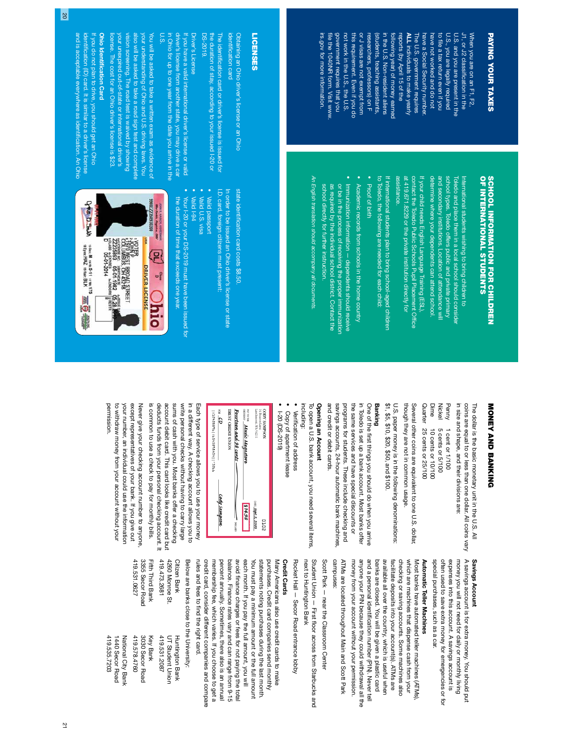# PAYING YOUR TAXES PAYING YOUR TAXES

not work in the U.S., the U.S. or J visas are not exempt from U.S. and you are present in the J1, or J2 classification in the irs.gov for more information. irs.gov for more information. file the 1040NR form. Visit www government requires that you government requires that you not work in the U.S., the U.S. this requirement. Even if you dc this requirement. Even if you do or J visas are not exempt from researchers, professors) on F researchers, professors) on F (students, teaching assistants (students, teaching assistants, following year) of money earned<br>in the U.S. Non-resident aliens in the U.S. Non-resident aliens following year) of money earned reports (by April 15 of the reports (by April 15 of the **ALL** individuals to make yearly The U.S. government requires have a Social Security number have a Social Security number. have not worked and do not have not worked and do not to fU.S., you are legally required U.S., you are legally required U.S. and you are present in the J1, or J2 classi When you are on an F1, F2, When you are on an F1, F2, The U.S. government requires le the 1040NR form. Visit www. individuals to make yearly le a tax return even if you cation in the

# SCHOOL INFORMATION FOR CHILDREN<br>OF INTERNATIONAL STUDENTS OF INTERNATIONAL STUDENTS SCHOOL INFORMATION FOR CHILDREN

determine where your dependents can attend school and secondary institutions. Location of attendance wil determine where your dependents can attend school. and secondary institutions. Location of attendance will school types. Toledo offers public and private primary school types. Toledo offers public and private primary Toledo and place them in a local school should consider Toledo and place them in a local school should consider International students wishing to bring children to International students wishing to bring children to

at 419.671.8229 or the private institution directly for If your child needs English Language Training (ESL), assistance. at 419.671.8229 or the private institution directly for contact the Toledo Public Schools Pupil Placement Of If your child needs English Language Training (ESL), fce

If international students plan to bring school-aged children to Toledo, the following are needed for each child: to Toledo, the following are needed for each child: If international students plan to bring school-aged children

- Proof of birth Proof of birth
- Academic records from schools in the home country Academic records from schools in the home country • Immunization information - dependents should receive Immunization information — dependents should receive
- school directly for further instruction. as required by the individual school district. Contact the or be in the process of receiving the proper immunization school directly for further instruction. as required by the individual school district. Contact the or be in the process of receiving the proper immunization

An English translation should accompany all documents. An English translation should accompany all documents

#### **LICENSES** LICENSES

Obtaining an Ohio driver's license or an Ohio Obtaining an Ohio driver's license or an Ohio

identi fcation card The identiThe identification card or driver's license is issued for cation card or driver's license is issued for

**DS-2019** DS-2019. the duration of stay, according to your issued I-20 or the duration of stay, according to your issued I-20 or

#### Driver's License **Orver's License**

U.S. in Ohio for up to one year from the date you arrive in the in Ohio for up to one year from the date you arrive in the driver's license from another state, you may drive a car driver's license from another state, you may drive a car If you have a valid international driver's license or valid t you have a valid international driver's license or valid

your unexpired out-of-state or international driver's vision screening. The road test is waived by showing also will be asked to take a road sign test and complete your understanding of Ohio and U.S. driving laws. You You will be asked to take a written exam as evidence of your unexpired out-of-state or international driver's rision screening. The road test is waived by showing also will be asked to take a road sign test and complete your understanding of Ohio and U.S. driving laws. You You will be asked to take a written exam as evidence of

### Ohio Identi Ohio Identification Card cation Card

license. The cost for an Ohio driver's license is \$23.

icense. The cost for an Ohio driver's license is \$23

and is acceptable everywhere as identiidenti fIf you do not plan to drive, you should get an Ohio If you do not plan to drive, you should get an Ohio and is acceptable everywhere as identification. An Ohio cation (ID) card. It is similar to a driver's license cation. An Ohio

> state identistate identification card costs \$8.50. cation card costs \$8.50.

I.D. card, foreign citizens must present In order to be issued an Ohio driver's license or state I.D. card, foreign citizens must present: In order to be issued an Ohio driver's license or state

Valid passport

•

Valid I-94 Valid U.S. visa id U.S. visa

•

the duration of time that exceeds one year the duration of time that exceeds one year. Your I-20 or your DS-2019 must have been issued for Your I-20 or your DS-2019 must have been issued for



# **NONEY AND BANKING** MONEY AND BANKING

in size and shape, and their divisions are: coins are equal to or less than one dollar. All coins vary in size and shape, and their divisions are: coins are equal to or less than one dollar. All coins vary The dollar is the basic monetary unit in the U.S. All The dollar is the basic monetary unit in the U.S. All

Quarter 25 cents or 25/100 Dime Nickel Penny Quarter 25 cents or 25/100 Dime 10 cents or 10/100 Nickel 5 cents or 5/100 10 cents or 10/100 5 cents or 5/100 1 cent or 1/100 1 cent or 1/100

Several other coins are equivalent to one U.S. dollar, though they are not in common usage. though they are not in common usage. Several other coins are equivalent to one U.S. dollar,

\$1, \$5, \$10, \$20, and \$100. U.S. paper money is in the following denominations: \$1, \$2, \$10, \$20, \$20, \$100. U.S. paper money is in the following denominations:

### Banking

and credit or debit cards. savings accounts, 24-hour automatic bank machines programs for students. These include checking and the same services and have special discounts or in Toledo is set up a bank account. Most banks offer One of the first things you should do when you arrive and credit or debit cards. savings accounts, 24-hour automatic bank machines, programs for students. These include checking and the same services and have special discounts or in Toledo is set up a bank account. Most banks offer One of the rst things you should do when you arrive

## Opening an Account Opening an Account

including: To open a U.S. bank account, you need several items, To open a U.S. bank account, you need several items,

- Verifcation of address
- Copy of apartment lease Copy of apartment lease
- 1-20 (DS-2019) I-20 (DS-2019)

| $\omega$ and<br>992E.     hEh9695h59:   96992h2T: | TRUST CREDIT UNION<br>Fourteen and 98 cents – | ем то тне <b>мисіс медахторе</b><br>оюве от <b>мисіс медахторе</b> | Larchmont, WA 54211<br>14 Beacon Lane | <b>NOSHWYS AGOO</b> |  |
|---------------------------------------------------|-----------------------------------------------|--------------------------------------------------------------------|---------------------------------------|---------------------|--|
| Cody Sampson                                      | - BOILDRES                                    | 814.98                                                             | DATE 5ept.2, 2003                     | 20TO                |  |

is common to use a check to pay for monthly bills. deducts funds from your personal checking account. It account debit card. This card looks like credit card but sums of cash with you. Most banks offer a checking write personal checks without having to carry large in a different way. A checking account allows you to is common to use a check to pay for monthly bills. deducts funds from your personal checking account. It account debit card. This card looks like credit card but sums of cash with you. Most banks offer a checking write personal checks without having to carry large in a different way. A checking account allows you to Each type of service allows you to use your money Each type of service allows you to use your money

permission. to withdraw money from your account without your your number, an individual could use the information except representatives of your bank. If you give out Never give your checking account number to anyone. permission. to withdraw money from your account without your your number, an individual could use the information except representatives of your bank. If you give out Never give your checking account number to anyone,

## Savings Account Savings Account

A savings account is for extra money. You should put money you will not need for daily or monthly living special purchases, such as a car. special purchases, such as a car. often used to save extra money for emergencies or for often used to save extra money for emergencies or for expenses into this account. A savings account is expenses into this account. A savings account is A savings account is for extra money. You should put money you will not need for daily or monthly living

# **Automatic Teller Machines** Automatic Teller Machines

money from your account without your permission. anyone your PIN because they could withdrawal all the and a personal identification number (PIN). Never tell facilitate deposits into your account(s). ATMs are checking or saving accounts. Some machines also which are machines that dispense cash from your Most banks have automated teller machines (ATMs) anyone your PIN because they could withdrawal all the and a personal identi banks are closed. You will be given a plastic card available all over the country, which is useful when available all over the country, which is useful when facilitate deposits into your account(s). ATMs are checking or saving accounts. Some machines also which are machines that dispense cash from your money from your account without your permission. banks are closed. You will be given a plastic card Most banks have automated teller machines (ATMs), cation number (PIN). Never tell

campuses: ATMs are located throughout Main and Scott Park campuses: ATMs are located throughout Main and Scott Park

Scott Park — near the Classroom Center Scott Park — near the Classroom Center

next to Huntington Bank Student Union - First floor across from Starbucks and Student Union — First next to Huntington Bank oor across from Starbucks and

Rocket Hall - Secor Road entrance lobby Rocket Hall — Secor Road entrance lobby

# **Credit Cards** Credit Cards

credit card, consider different companies and compare Many Americans also use credit cards to make rules and fees to find the right card. credit card, consider different companies and compare membership fee, which varies. If you choose to get a percent annually. Sometimes, there also is an annual balance. Finance rates vary and can range from 9-15 avoid feach month. If you pay the full amount, you will each month. If you pay the full amount, you will You must pay a minimum amount or the full amount statements noting purchases during the last month. statements noting purchases during the last month. purchases. Credit card companies send monthly rules and fees to membership fee, which varies. If you choose to get a percent annually. Sometimes, there also is an annual balance. Finance rates vary and can range from 9-15 You must pay a minimum amount or the full amount purchases. Credit card companies send monthly Many Americans also use credit cards to make nance charges or fees for not paying the total nd the right card.

Below are parks close to the Cliversity: Below are banks close to the University:

| Citizen Bank    | <b>Huntington Bank</b> |
|-----------------|------------------------|
| 4260 Monroe St. | UT Student Union       |
| 419.473.2681    | 419.531.2087           |
| Fith Third Bank | Key Bank               |
| 3355 Secor Road | 3030 Secor Road        |
| 419.531.0627    | 419.578.4760           |

419.473.2

1440 Secor Road 1440 Secor Road National City Bank National City Bank 3030 Secor Road ă

419.531.0 3355 Secc

419.535.7203

419.535.7203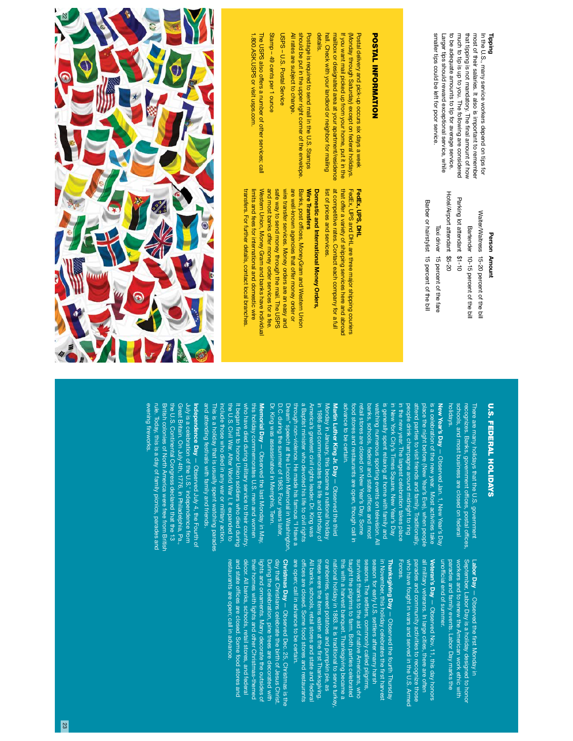#### Tipping

smaller tips could be left for poor service. to be adequate amounts to tip for average service. much to tip is up to you. The following are considered most of their salaries. It also is important to remember In the U.S., many service workers depend on tips for smaller tips could be left for poor service. Larger tips should reward exceptional service, while to be adequate amounts to tip for average service. that tipping is not mandatory. The final amount of how that tipping is not mandatory. The Larger tips should reward exceptional service, while much to tip is up to you. The following are considered most of their salaries. It also is important to remember In the U.S., many service workers depend on tips for nal amount of how

#### Person Amount Person Amount

Hotel/Airport attendant \$5-20 Hotel/Airport attendant Parking lot attendant \$1-10 Parking lot attendant \$1-10 Barber or hairstylist 15 percent of the bill Barber or hairstylist 15 percent of the bill Waiter/Waitress 15-20 percent of the bill Waiter/Waitress Bartender 10-15 percent of the bill Taxi driver 15 percent of the fare Taxi driver 15 percent of the fare Bartender 10-15 percent of the bill 15-20 percent of the bill

# **POSTAL INFORMATION** POSTAL INFORMATION

mailbox or designated area at your apartment/residence details. hall. Check with your landlord or neighbor tor mailing hall. Check with your landlord or neighbor for mailing mailbox or designated area at your apartment/residence If you want mail picked up from your home, put it in the If you want mail picked up from your home, put it in the (Monday through Saturday) except on federal holidays. (Monday through Saturday) except on federal holidays. Postal delivery and pick-up occurs six days a week Postal delivery and pick-up occurs six days a week

All rates are subject to change. All rates are subject to change. should be put in the upper right corner of the envelope. should be put in the upper right corner of the envelope. Postage is required to send mail in the U.S. Stamps Postage is required to send mail in the U.S. Stamps

USPS - U.S. Postal Service USPS – U.S. Postal Service

# Stamp - 49 cents per 1 ounce Stamp – 49 cents per 1 ounce

1.800.ASK.USPS or visit usps.com. 1.800.ASK.USPS or visit usps.com. The USPS also offers a number of other services; call The USPS also offers a number of other services; call

#### FedEx, UPS, DHL FedEx, UPS, DHL

list of prices and services. at competitive rates. Contact each company for a full that offer a variety of shipping services here and abroad FedEx, UPS and DHL are three major shipping couriers list of prices and services. at competitive rates. Contact each company for a full that offer a variety of shipping services here and abroad FedEx, UPS and DHL are three major shipping couriers

### Wire Transfers Domestic and International Money Orders, Wire Transfers Domestic and International Money Orders,

Western Union, Money Gram and banks have individual Banks, post offices, MoneyGram and Western Union transfers. For further details, contact local branches limits and fees for international and domestic wire and most banks offer money order services for a fee safe way to send money through the mail. The USPS wire transfer services. Money orders are an easy and are well-known agencies that offer money order or transfers. For further details, contact local branches. limits and fees for international and domestic wire Western Union, Money Gram and banks have individual and most banks offer money order services for a fee. safe way to send money through the mail. The USPS wire transfer services. Money orders are an easy and are well-known agencies that offer money order or Banks, post of ces, MoneyGram and Western Union



# **U.S. FEDERAL HOLIDAYS** U.S. FEDERAL HOLIDAYS

holidays. schools, and most business are closed on federal recognizes. Banks, government of There are many holidays that the U.S. government There are many holidays that the U.S. government schools, and most business are closed on federal ces, postal offces,

advance to be certain. retail stores are closed on New Year's Day. Some in New York City's Times Square. New Year's Day advance to be certain. food stores and restaurants are open, though call in retail stores are closed on New Year's Day. Some banks, schools, federal and state offices and most banks, schools, federal and state of watching numerous sporting events on television. All watching numerous sporting events on television. All is generally spent relaxing at home with family and is generally spent relaxing at home with family and in New York City's Times Square. New Year's Day in the new year. The largest celebration takes place in the new year. The largest celebration takes place people drink champagne around midnight to ring attend parties to visit friends and family. Traditionally, place the night before (New Year's Eve), when people is a celebration of the new year. Most activities take New Year's Day - Observed Jan. 1, New Year's Day New Year's Day ood stores and restaurants are open, though call in people drink champagne around midnight to ring attend parties to visit friends and family. Traditionally s a celebration of the new year. Most activities take lace the night before (New Year's Eve), when people — Observed Jan. 1, New Year's Day ces and most

Dr. King was assassinated in Memphis, Tenn. a Baptist minister who devoted his life to civil rights America's greatest civil rights leader. Dr. King was in 1986 and commemorates the life and birthday of Dr. King was assassinated in Memphis, Tenn. D.C. during the summer of 1963. Four years later, D.C. during the summer of 1963. Four years later, Dream" speech at the Lincoln Memorial in Washington Dream" speech at the Lincoln Memorial in Washington, through non-violence. He made his famous "I Have a through non-violence. He made his famous "I Have a a Baptist minister who devoted his life to civil rights America's greatest civil rights leader. Dr. King was in 1986 and commemorates the life and birthday of Monday in January, this became a national holiday Martin Luther King Jr. Day Vlonday in January, this became a national holiday rrtin Luther King Jr. Day  $-$  Observed the third — Observed the third

and attending festivals with family and friends. and attending festivals with family and friends. This is a holiday that is usually spent watching parades include those who died in any war or military action. the U.S. Civil War. After World War I, it expanded to It began fwho have died during military service to their country who have died during military service to their country. this holiday commemorates U.S. men and women this holiday commemorates U.S. men and women Memorial Day - Observed the last Monday in May Memorial Day This is a holiday that is usually spent watching parades nclude those who died in any war or military action. the U.S. Civil War. After World War I, it expanded to rst to honor Union soldiers who died during — Observed the last Monday in May,

evening frule. Today, this is a day of family picnics, parades and rule. Today, this is a day of family picnics, parades and British colonies of North America were free from British the U.S. Continental Congress declared that the 13 Great Britain. On July 4th, 1776, in Philadelphia, Pa Great Britain. On July 4th, 1776, in Philadelphia, Pa., July is a celebration of the U.S.' independence from **Independence Day**  $-$  Observed July 4, the Fourth or Independence Day the U.S. Continental Congress declared that the 13 luly is a celebration of the U.S.' independence from itish colonies of North America were free from British reworks.  $-$  Observed July 4, the Fourth of

> parades and family events. Labor Day marks the workers and to renew the American work ethic with workers and to renew the American work ethic with September, Labor Day is a holiday designed to honor unof fparades and family events. Labor Day marks the Labor Day cial end of summer. — Observed the rst Monday in

Veteran's Day - Observed Nov. 11, this day honors who have fought in wars and served in the U.S. Armed parades and community activities to recognize those all military veterans. In large cities, there are often all military veterans. In large cities, there are often Veteran's Day — Observed Nov. 11, this day honors Forces. who have fought in wars and served in the U.S. Armed parades and community activities to recognize those

are open; call in advance to be certain. cranberries, sweet potatoes and pumpkin pie, as are open; call in advance to be certain. of fAll banks, schools, retail stores and state and federal All banks, schools, retail stores and state and federal these were the items eaten at the first Thanksgiving. these were the items eaten at the cranberries, sweet potatoes and pumpkin pie, as national holiday in 1863. It is traditional to serve turke this with a harvest banquet. Thanksgiving became a this with a harvest banquet. Thanksgiving became a taught the pilgrims to farm. Both parties celebrated taught the pilgrims to farm. Both parties celebrated survived thanks to the aid of native Americans, who survived thanks to the aid of native Americans, who seasons. The settlers, commonly called pilgrims, season for early U.S. settlers after many harsh in November, this holiday celebrates the first harvest Thanksgiving Day - Observed the fourth Thursday Thanksgiving Day national holiday in 1863. It is traditional to serve turkey, seasons. The settlers, commonly called pilgrims season for early U.S. settlers after many harsh in November, this holiday celebrates the ces are closed. Some food stores and restaurants — Observed the fourth Thursday rst Thanksgiving. rst harvest

restaurants are open; call in advance and state offices are closed. Some food stores and and state of décor. All banks, schools, retail stores, and federal décor. All banks, schools, retail stores, and federal their homes with lights and other Christmas-themed their homes with lights and other Christmas-themed lights and ornaments. Many decorate the outsides of During the celebration, pine trees are decorated with day that Christians celebrate the birth of Jesus Christ day that Christians celebrate the birth of Jesus Christ. Christmas Day - Observed Dec. 25, Christmas is the restaurants are open; call in advance. lights and ornaments. Many decorate the outsides of During the celebration, pine trees are decorated with Christmas Day ces are closed. Some food stores and — Observed Dec. 25, Christmas is the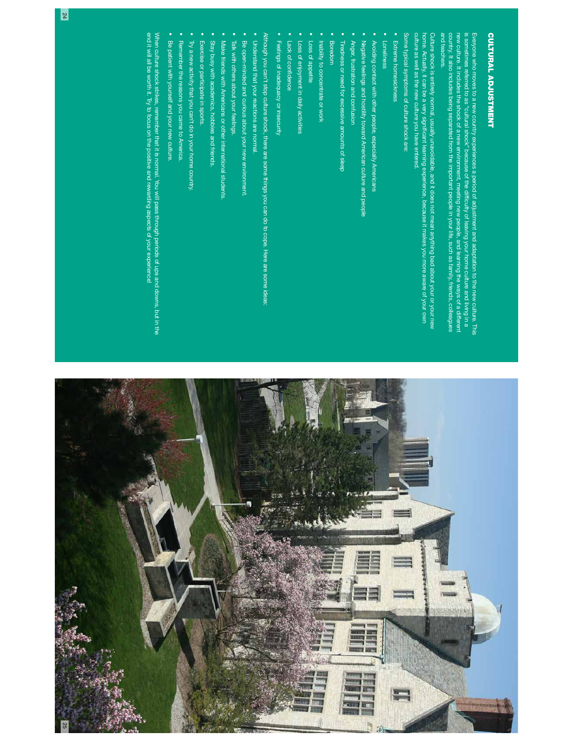

and teachers. and teachers. new culture. It includes the shock of a new environment, meeting new people, and learning the ways of a different<br>country, It also includes being separated from the important people in your life, such as family, friends, c country. It also includes being separated from the important people in your life, such as family, friends, colleagues new culture. It includes the shock of a new environment, meeting new people, and learning the ways of a different is sometimes referred to as "cultural shock" because of the difficulty of leaving your home culture and living in a is sometimes referred to as "cultural shock" because of the dif Everyone who moves to a new country experiences a period of adjustment and adaptation to the new culture. This Everyone who moves to a new country experiences a period of adjustment and adaptation to the new culture. This culty of leaving your home culture and living in a

Culture shock is entirely normal, usually unavoidable, and it does not mean anything bad about your or your new<br>home. Actually, it can be a very significant learning experience, because it makes you more aware of your own culture as well as the new culture you have entered. culture as well as the new culture you have entered. home. Actually, it can be a very signi Culture shock is entirely normal, usually unavoidable, and it does not mean anything bad about your or your new cant learning experience, because it makes you more aware of your own

Some typical symptoms of culture shock are: Some typical symptoms of culture shock are:

- Extreme homesickness
- Extreme homesickness • Loneliness Loneliness
- Avoiding contact with other people, especially Americans Avoiding contact with other people, especially Americans
- Negative feelings and hostility toward American culture and people Negative feelings and hostility toward American culture and people
- Anger, frustration and confusion Anger, frustration and confusion
- Tiredness or need for excessive amounts of sleep Tiredness or need for excessive amounts of sleep
- Boredom Boredom

•

- Inability to concentrate or work Inability to concentrate or work
- Loss of appetite Loss of appetite
- Loss of enjoyment in daily activities Loss of enjoyment in daily activities
- Lack of confdence

•

•

Feelings of inadequacy or insecurity Feelings of inadequacy or insecurity

Although you can't stop culture shock, there are some things you can do to cope. Here are some ideas: Although you can't stop culture shock, there are some things you can do to cope. Here are some ideas:

- Understand that your reactions are normal.
- Understand that your reactions are normal.
- Be open-minded and curious about your new environment Be open-minded and curious about your new environment.
- Talk with others about your feelings. Talk with others about your feelings.
- Make friends with Americans or other international students. Make friends with Americans or other international students.
- Stay busy with academics, hobbies and friends. Stay busy with academics, hobbies and friends.
- Exercise or participate in sports. Exercise or participate in sports.
- Try a new activity that you can't do in your home country Try a new activity that you can't do in your home country.
- Remember the reasons you came to America. Remember the reasons you came to America.
- Be patient with yourself and your new culture. Be patient with yourself and your new culture.
- 

When culture shock strikes, remember that it is normal. You will pass through periods of ups and downs, but in the<br>end it will all be worth it. Try to focus on the positive and rewarding aspects of your experience! end it will all be worth it. Try to focus on the positive and rewarding aspects of your experience! When culture shock strikes, remember that it is normal. You will pass through periods of ups and downs, but in the